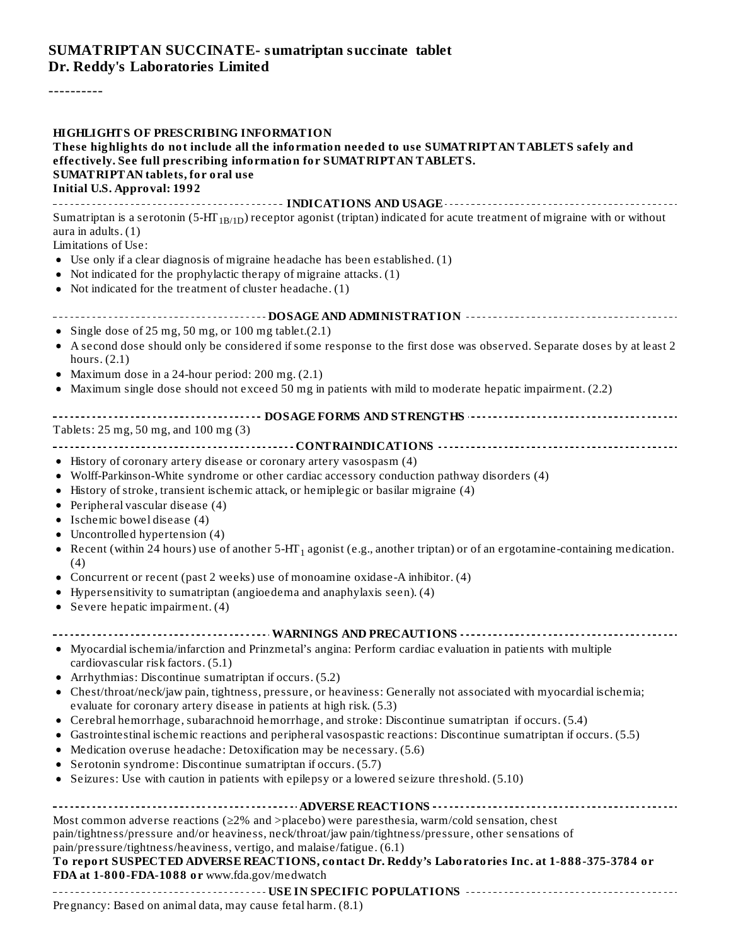#### **SUMATRIPTAN SUCCINATE- sumatriptan succinate tablet Dr. Reddy's Laboratories Limited**

----------

| <b>HIGHLIGHTS OF PRESCRIBING INFORMATION</b><br>These highlights do not include all the information needed to use SUMATRIPTAN TABLETS safely and<br>effectively. See full prescribing information for SUMATRIPTAN TABLETS.<br>SUMATRIPTAN tablets, for oral use                                                                                                                                                                                                                                                                                                                                                                                                                                                                                                                                                                                                                            |
|--------------------------------------------------------------------------------------------------------------------------------------------------------------------------------------------------------------------------------------------------------------------------------------------------------------------------------------------------------------------------------------------------------------------------------------------------------------------------------------------------------------------------------------------------------------------------------------------------------------------------------------------------------------------------------------------------------------------------------------------------------------------------------------------------------------------------------------------------------------------------------------------|
| <b>Initial U.S. Approval: 1992</b>                                                                                                                                                                                                                                                                                                                                                                                                                                                                                                                                                                                                                                                                                                                                                                                                                                                         |
| Sumatriptan is a serotonin (5-HT <sub>1B/1D</sub> ) receptor agonist (triptan) indicated for acute treatment of migraine with or without<br>aura in adults. $(1)$<br>Limitations of Use:<br>• Use only if a clear diagnosis of migraine headache has been established. (1)<br>• Not indicated for the prophylactic therapy of migraine attacks. (1)<br>• Not indicated for the treatment of cluster headache. (1)                                                                                                                                                                                                                                                                                                                                                                                                                                                                          |
|                                                                                                                                                                                                                                                                                                                                                                                                                                                                                                                                                                                                                                                                                                                                                                                                                                                                                            |
| • Single dose of 25 mg, 50 mg, or 100 mg tablet.(2.1)<br>• A second dose should only be considered if some response to the first dose was observed. Separate doses by at least 2<br>hours. $(2.1)$<br>• Maximum dose in a 24-hour period: 200 mg. (2.1)<br>• Maximum single dose should not exceed 50 mg in patients with mild to moderate hepatic impairment. (2.2)                                                                                                                                                                                                                                                                                                                                                                                                                                                                                                                       |
|                                                                                                                                                                                                                                                                                                                                                                                                                                                                                                                                                                                                                                                                                                                                                                                                                                                                                            |
| Tablets: 25 mg, 50 mg, and 100 mg (3)<br>• History of coronary artery disease or coronary artery vasospasm (4)<br>• Wolff-Parkinson-White syndrome or other cardiac accessory conduction pathway disorders (4)<br>• History of stroke, transient ischemic attack, or hemiplegic or basilar migraine (4)<br>• Peripheral vascular disease (4)<br>• Ischemic bowel disease (4)<br>• Uncontrolled hypertension (4)<br>• Recent (within 24 hours) use of another $5-H\Gamma_1$ agonist (e.g., another triptan) or of an ergotamine-containing medication.<br>(4)<br>• Concurrent or recent (past 2 weeks) use of monoamine oxidase-A inhibitor. (4)<br>Hypersensitivity to sumatriptan (angioedema and anaphylaxis seen). (4)<br>• Severe hepatic impairment. $(4)$                                                                                                                            |
| • Myocardial ischemia/infarction and Prinzmetal's angina: Perform cardiac evaluation in patients with multiple<br>cardiovascular risk factors. (5.1)<br>• Arrhythmias: Discontinue sumatriptan if occurs. (5.2)<br>• Chest/throat/neck/jaw pain, tightness, pressure, or heaviness: Generally not associated with myocardial ischemia;<br>evaluate for coronary artery disease in patients at high risk. (5.3)<br>• Cerebral hemorrhage, subarachnoid hemorrhage, and stroke: Discontinue sumatriptan if occurs. (5.4)<br>• Gastrointestinal ischemic reactions and peripheral vasospastic reactions: Discontinue sumatriptan if occurs. (5.5)<br>• Medication overuse headache: Detoxification may be necessary. (5.6)<br>• Serotonin syndrome: Discontinue sumatriptan if occurs. (5.7)<br>• Seizures: Use with caution in patients with epilepsy or a lowered seizure threshold. (5.10) |
|                                                                                                                                                                                                                                                                                                                                                                                                                                                                                                                                                                                                                                                                                                                                                                                                                                                                                            |
| Most common adverse reactions (≥2% and >placebo) were paresthesia, warm/cold sensation, chest<br>pain/tightness/pressure and/or heaviness, neck/throat/jaw pain/tightness/pressure, other sensations of<br>pain/pressure/tightness/heaviness, vertigo, and malaise/fatigue. (6.1)<br>To report SUSPECTED ADVERSE REACTIONS, contact Dr. Reddy's Laboratories Inc. at 1-888-375-3784 or<br>FDA at 1-800-FDA-1088 or www.fda.gov/medwatch                                                                                                                                                                                                                                                                                                                                                                                                                                                    |
| Pregnancy: Based on animal data, may cause fetal harm. (8.1)                                                                                                                                                                                                                                                                                                                                                                                                                                                                                                                                                                                                                                                                                                                                                                                                                               |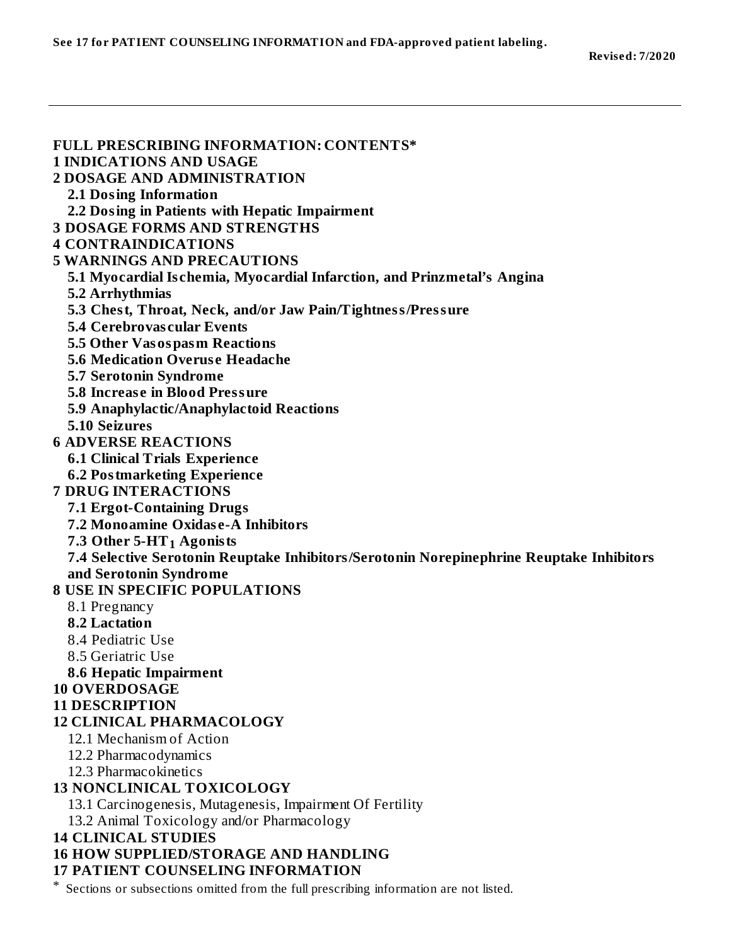**See 17 for PATIENT COUNSELING INFORMATION and FDA-approved patient labeling.**

| <b>FULL PRESCRIBING INFORMATION: CONTENTS*</b><br><b>1 INDICATIONS AND USAGE</b>                 |
|--------------------------------------------------------------------------------------------------|
| <b>2 DOSAGE AND ADMINISTRATION</b>                                                               |
| <b>2.1 Dosing Information</b>                                                                    |
| 2.2 Dosing in Patients with Hepatic Impairment                                                   |
| <b>3 DOSAGE FORMS AND STRENGTHS</b>                                                              |
| <b>4 CONTRAINDICATIONS</b>                                                                       |
| <b>5 WARNINGS AND PRECAUTIONS</b>                                                                |
| 5.1 Myocardial Ischemia, Myocardial Infarction, and Prinzmetal's Angina                          |
| 5.2 Arrhythmias                                                                                  |
|                                                                                                  |
| 5.3 Chest, Throat, Neck, and/or Jaw Pain/Tightness/Pressure<br><b>5.4 Cerebrovascular Events</b> |
|                                                                                                  |
| 5.5 Other Vasospasm Reactions<br><b>5.6 Medication Overuse Headache</b>                          |
|                                                                                                  |
| 5.7 Serotonin Syndrome<br><b>5.8 Increase in Blood Pressure</b>                                  |
|                                                                                                  |
| 5.9 Anaphylactic/Anaphylactoid Reactions<br><b>5.10 Seizures</b>                                 |
| <b>6 ADVERSE REACTIONS</b>                                                                       |
| <b>6.1 Clinical Trials Experience</b>                                                            |
| <b>6.2 Postmarketing Experience</b>                                                              |
| <b>7 DRUG INTERACTIONS</b>                                                                       |
| <b>7.1 Ergot-Containing Drugs</b>                                                                |
| 7.2 Monoamine Oxidase-A Inhibitors                                                               |
| 7.3 Other 5-HT <sub>1</sub> Agonists                                                             |
| 7.4 Selective Serotonin Reuptake Inhibitors/Serotonin Norepinephrine Reuptake Inhibitors         |
| and Serotonin Syndrome                                                                           |
| <b>8 USE IN SPECIFIC POPULATIONS</b>                                                             |
| 8.1 Pregnancy                                                                                    |
| <b>8.2 Lactation</b>                                                                             |
| 8.4 Pediatric Use                                                                                |
| 8.5 Geriatric Use                                                                                |
| <b>8.6 Hepatic Impairment</b>                                                                    |
| <b>10 OVERDOSAGE</b>                                                                             |
| <b>11 DESCRIPTION</b>                                                                            |
| <b>12 CLINICAL PHARMACOLOGY</b>                                                                  |
| 12.1 Mechanism of Action                                                                         |
| 12.2 Pharmacodynamics                                                                            |
| 12.3 Pharmacokinetics                                                                            |
| <b>13 NONCLINICAL TOXICOLOGY</b>                                                                 |
| 13.1 Carcinogenesis, Mutagenesis, Impairment Of Fertility                                        |
| 13.2 Animal Toxicology and/or Pharmacology                                                       |
| <b>14 CLINICAL STUDIES</b>                                                                       |
| <b>16 HOW SUPPLIED/STORAGE AND HANDLING</b>                                                      |
| <b>17 PATIENT COUNSELING INFORMATION</b>                                                         |
| Sections or subsections omitted from the full prescribing information are not listed.            |
|                                                                                                  |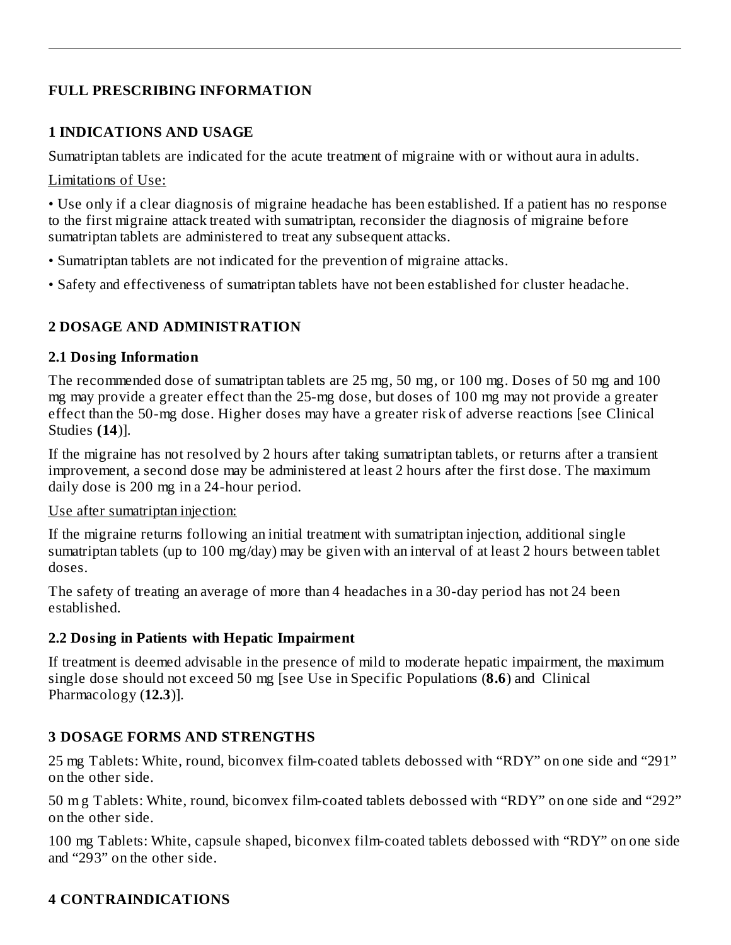#### **FULL PRESCRIBING INFORMATION**

#### **1 INDICATIONS AND USAGE**

Sumatriptan tablets are indicated for the acute treatment of migraine with or without aura in adults.

Limitations of Use:

• Use only if a clear diagnosis of migraine headache has been established. If a patient has no response to the first migraine attack treated with sumatriptan, reconsider the diagnosis of migraine before sumatriptan tablets are administered to treat any subsequent attacks.

- Sumatriptan tablets are not indicated for the prevention of migraine attacks.
- Safety and effectiveness of sumatriptan tablets have not been established for cluster headache.

#### **2 DOSAGE AND ADMINISTRATION**

#### **2.1 Dosing Information**

The recommended dose of sumatriptan tablets are 25 mg, 50 mg, or 100 mg. Doses of 50 mg and 100 mg may provide a greater effect than the 25-mg dose, but doses of 100 mg may not provide a greater effect than the 50-mg dose. Higher doses may have a greater risk of adverse reactions [see Clinical Studies **(14**)].

If the migraine has not resolved by 2 hours after taking sumatriptan tablets, or returns after a transient improvement, a second dose may be administered at least 2 hours after the first dose. The maximum daily dose is 200 mg in a 24-hour period.

#### Use after sumatriptan injection:

If the migraine returns following an initial treatment with sumatriptan injection, additional single sumatriptan tablets (up to 100 mg/day) may be given with an interval of at least 2 hours between tablet doses.

The safety of treating an average of more than 4 headaches in a 30-day period has not 24 been established.

#### **2.2 Dosing in Patients with Hepatic Impairment**

If treatment is deemed advisable in the presence of mild to moderate hepatic impairment, the maximum single dose should not exceed 50 mg [see Use in Specific Populations (**8.6**) and Clinical Pharmacology (**12.3**)].

#### **3 DOSAGE FORMS AND STRENGTHS**

25 mg Tablets: White, round, biconvex film-coated tablets debossed with "RDY" on one side and "291" on the other side.

50 m g Tablets: White, round, biconvex film-coated tablets debossed with "RDY" on one side and "292" on the other side.

100 mg Tablets: White, capsule shaped, biconvex film-coated tablets debossed with "RDY" on one side and "293" on the other side.

#### **4 CONTRAINDICATIONS**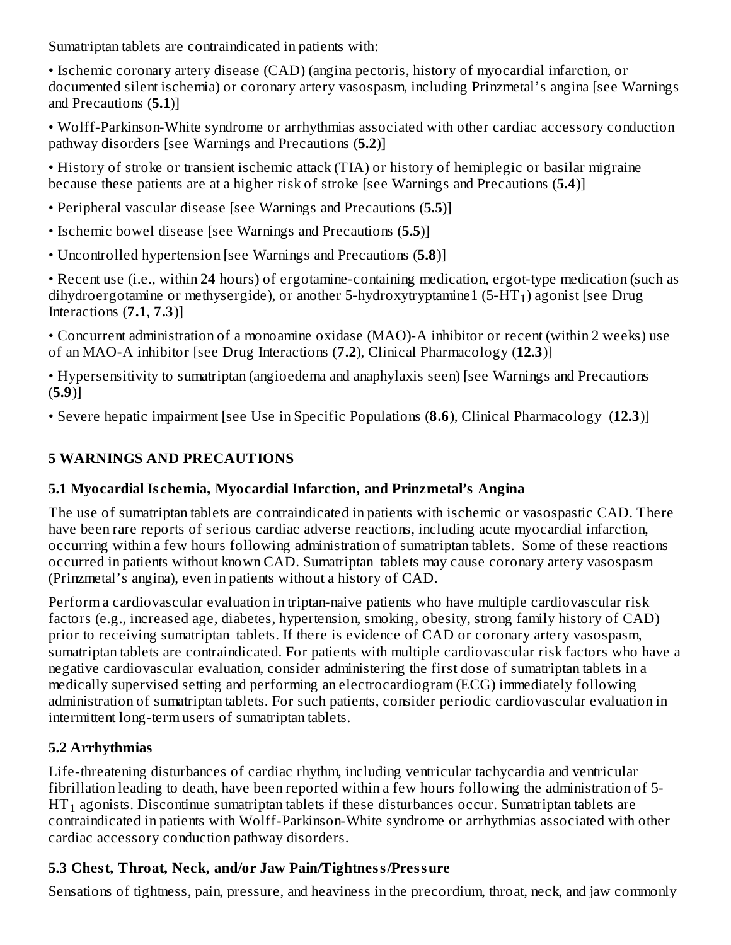Sumatriptan tablets are contraindicated in patients with:

• Ischemic coronary artery disease (CAD) (angina pectoris, history of myocardial infarction, or documented silent ischemia) or coronary artery vasospasm, including Prinzmetal's angina [see Warnings and Precautions (**5.1**)]

• Wolff-Parkinson-White syndrome or arrhythmias associated with other cardiac accessory conduction pathway disorders [see Warnings and Precautions (**5.2**)]

• History of stroke or transient ischemic attack (TIA) or history of hemiplegic or basilar migraine because these patients are at a higher risk of stroke [see Warnings and Precautions (**5.4**)]

• Peripheral vascular disease [see Warnings and Precautions (**5.5**)]

• Ischemic bowel disease [see Warnings and Precautions (**5.5**)]

• Uncontrolled hypertension [see Warnings and Precautions (**5.8**)]

• Recent use (i.e., within 24 hours) of ergotamine-containing medication, ergot-type medication (such as dihydroergotamine or methysergide), or another 5-hydroxytryptamine $1\,({\rm 5-HT_1})$  agonist [see Drug Interactions (**7.1**, **7.3**)]

• Concurrent administration of a monoamine oxidase (MAO)-A inhibitor or recent (within 2 weeks) use of an MAO-A inhibitor [see Drug Interactions (**7.2**), Clinical Pharmacology (**12.3**)]

• Hypersensitivity to sumatriptan (angioedema and anaphylaxis seen) [see Warnings and Precautions (**5.9**)]

• Severe hepatic impairment [see Use in Specific Populations (**8.6**), Clinical Pharmacology (**12.3**)]

### **5 WARNINGS AND PRECAUTIONS**

### **5.1 Myocardial Is chemia, Myocardial Infarction, and Prinzmetal's Angina**

The use of sumatriptan tablets are contraindicated in patients with ischemic or vasospastic CAD. There have been rare reports of serious cardiac adverse reactions, including acute myocardial infarction, occurring within a few hours following administration of sumatriptan tablets. Some of these reactions occurred in patients without known CAD. Sumatriptan tablets may cause coronary artery vasospasm (Prinzmetal's angina), even in patients without a history of CAD.

Perform a cardiovascular evaluation in triptan-naive patients who have multiple cardiovascular risk factors (e.g., increased age, diabetes, hypertension, smoking, obesity, strong family history of CAD) prior to receiving sumatriptan tablets. If there is evidence of CAD or coronary artery vasospasm, sumatriptan tablets are contraindicated. For patients with multiple cardiovascular risk factors who have a negative cardiovascular evaluation, consider administering the first dose of sumatriptan tablets in a medically supervised setting and performing an electrocardiogram (ECG) immediately following administration of sumatriptan tablets. For such patients, consider periodic cardiovascular evaluation in intermittent long-term users of sumatriptan tablets.

# **5.2 Arrhythmias**

Life-threatening disturbances of cardiac rhythm, including ventricular tachycardia and ventricular fibrillation leading to death, have been reported within a few hours following the administration of 5-  $\operatorname{HT}_1$  agonists. Discontinue sumatriptan tablets if these disturbances occur. Sumatriptan tablets are contraindicated in patients with Wolff-Parkinson-White syndrome or arrhythmias associated with other cardiac accessory conduction pathway disorders.

### **5.3 Chest, Throat, Neck, and/or Jaw Pain/Tightness/Pressure**

Sensations of tightness, pain, pressure, and heaviness in the precordium, throat, neck, and jaw commonly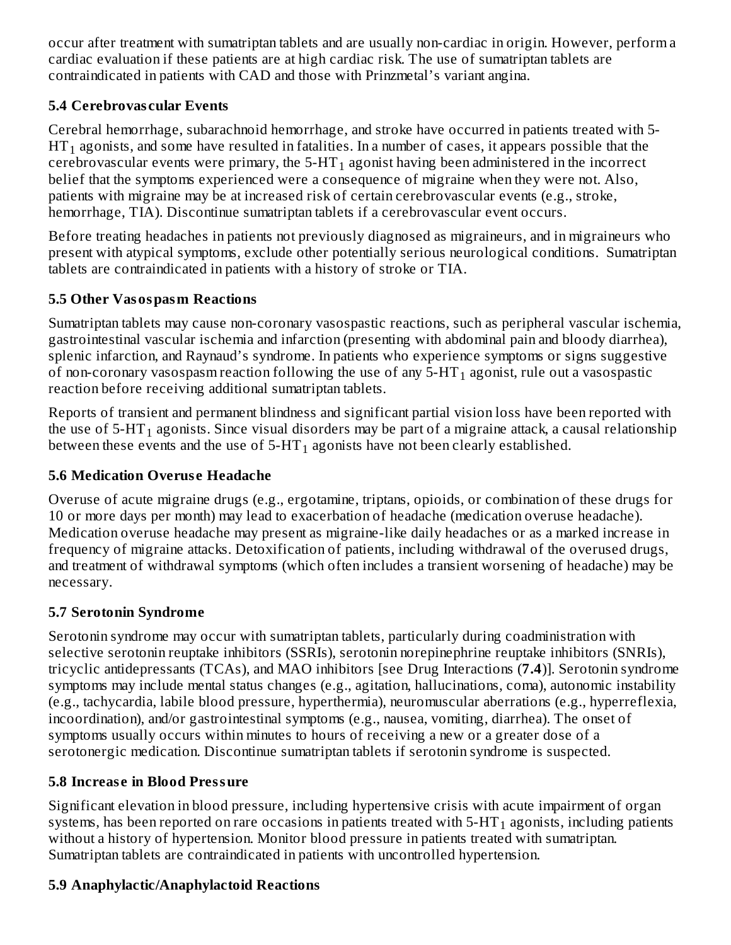occur after treatment with sumatriptan tablets and are usually non-cardiac in origin. However, perform a cardiac evaluation if these patients are at high cardiac risk. The use of sumatriptan tablets are contraindicated in patients with CAD and those with Prinzmetal's variant angina.

### **5.4 Cerebrovas cular Events**

Cerebral hemorrhage, subarachnoid hemorrhage, and stroke have occurred in patients treated with 5-  $\operatorname{HT}_1$  agonists, and some have resulted in fatalities. In a number of cases, it appears possible that the cerebrovascular events were primary, the 5-HT $_{\rm 1}$  agonist having been administered in the incorrect belief that the symptoms experienced were a consequence of migraine when they were not. Also, patients with migraine may be at increased risk of certain cerebrovascular events (e.g., stroke, hemorrhage, TIA). Discontinue sumatriptan tablets if a cerebrovascular event occurs.

Before treating headaches in patients not previously diagnosed as migraineurs, and in migraineurs who present with atypical symptoms, exclude other potentially serious neurological conditions. Sumatriptan tablets are contraindicated in patients with a history of stroke or TIA.

### **5.5 Other Vasospasm Reactions**

Sumatriptan tablets may cause non-coronary vasospastic reactions, such as peripheral vascular ischemia, gastrointestinal vascular ischemia and infarction (presenting with abdominal pain and bloody diarrhea), splenic infarction, and Raynaud's syndrome. In patients who experience symptoms or signs suggestive of non-coronary vasospasm reaction following the use of any 5-HT $_{\rm 1}$  agonist, rule out a vasospastic reaction before receiving additional sumatriptan tablets.

Reports of transient and permanent blindness and significant partial vision loss have been reported with the use of 5-HT $_{\rm 1}$  agonists. Since visual disorders may be part of a migraine attack, a causal relationship between these events and the use of 5-HT $_{\rm 1}$  agonists have not been clearly established.

### **5.6 Medication Overus e Headache**

Overuse of acute migraine drugs (e.g., ergotamine, triptans, opioids, or combination of these drugs for 10 or more days per month) may lead to exacerbation of headache (medication overuse headache). Medication overuse headache may present as migraine-like daily headaches or as a marked increase in frequency of migraine attacks. Detoxification of patients, including withdrawal of the overused drugs, and treatment of withdrawal symptoms (which often includes a transient worsening of headache) may be necessary.

#### **5.7 Serotonin Syndrome**

Serotonin syndrome may occur with sumatriptan tablets, particularly during coadministration with selective serotonin reuptake inhibitors (SSRIs), serotonin norepinephrine reuptake inhibitors (SNRIs), tricyclic antidepressants (TCAs), and MAO inhibitors [see Drug Interactions (**7.4**)]. Serotonin syndrome symptoms may include mental status changes (e.g., agitation, hallucinations, coma), autonomic instability (e.g., tachycardia, labile blood pressure, hyperthermia), neuromuscular aberrations (e.g., hyperreflexia, incoordination), and/or gastrointestinal symptoms (e.g., nausea, vomiting, diarrhea). The onset of symptoms usually occurs within minutes to hours of receiving a new or a greater dose of a serotonergic medication. Discontinue sumatriptan tablets if serotonin syndrome is suspected.

### **5.8 Increas e in Blood Pressure**

Significant elevation in blood pressure, including hypertensive crisis with acute impairment of organ systems, has been reported on rare occasions in patients treated with 5-HT $_{\rm 1}$  agonists, including patients without a history of hypertension. Monitor blood pressure in patients treated with sumatriptan. Sumatriptan tablets are contraindicated in patients with uncontrolled hypertension.

### **5.9 Anaphylactic/Anaphylactoid Reactions**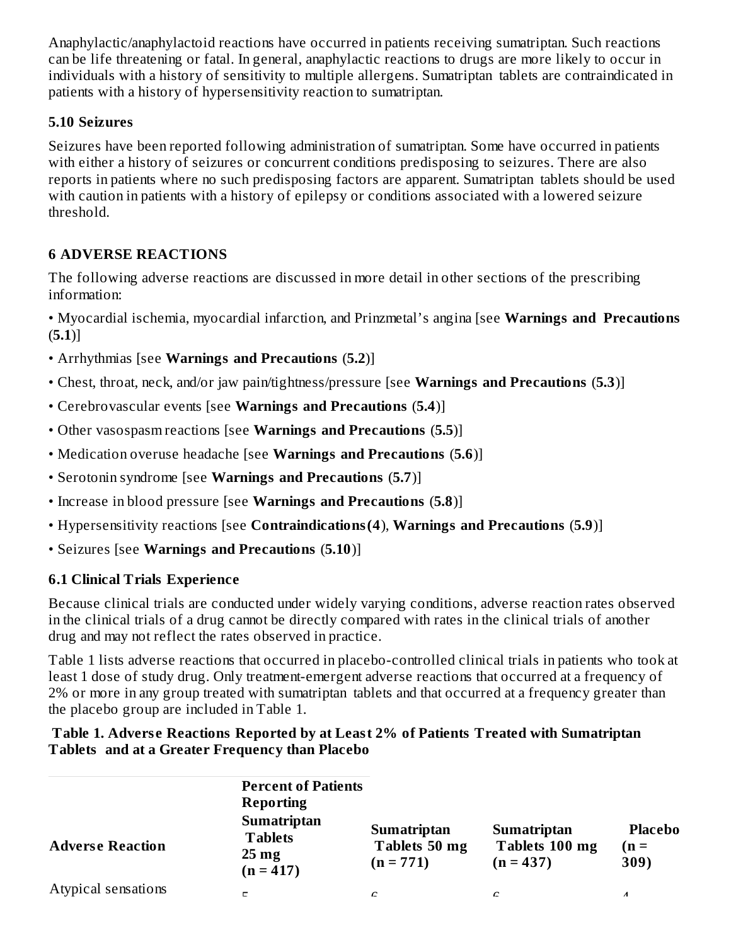Anaphylactic/anaphylactoid reactions have occurred in patients receiving sumatriptan. Such reactions can be life threatening or fatal. In general, anaphylactic reactions to drugs are more likely to occur in individuals with a history of sensitivity to multiple allergens. Sumatriptan tablets are contraindicated in patients with a history of hypersensitivity reaction to sumatriptan.

#### **5.10 Seizures**

Seizures have been reported following administration of sumatriptan. Some have occurred in patients with either a history of seizures or concurrent conditions predisposing to seizures. There are also reports in patients where no such predisposing factors are apparent. Sumatriptan tablets should be used with caution in patients with a history of epilepsy or conditions associated with a lowered seizure threshold.

### **6 ADVERSE REACTIONS**

The following adverse reactions are discussed in more detail in other sections of the prescribing information:

• Myocardial ischemia, myocardial infarction, and Prinzmetal's angina [see **Warnings and Precautions** (**5.1**)]

- Arrhythmias [see **Warnings and Precautions** (**5.2**)]
- Chest, throat, neck, and/or jaw pain/tightness/pressure [see **Warnings and Precautions** (**5.3**)]
- Cerebrovascular events [see **Warnings and Precautions** (**5.4**)]
- Other vasospasm reactions [see **Warnings and Precautions** (**5.5**)]
- Medication overuse headache [see **Warnings and Precautions** (**5.6**)]
- Serotonin syndrome [see **Warnings and Precautions** (**5.7**)]
- Increase in blood pressure [see **Warnings and Precautions** (**5.8**)]
- Hypersensitivity reactions [see **Contraindications(4**), **Warnings and Precautions** (**5.9**)]
- Seizures [see **Warnings and Precautions** (**5.10**)]

### **6.1 Clinical Trials Experience**

Because clinical trials are conducted under widely varying conditions, adverse reaction rates observed in the clinical trials of a drug cannot be directly compared with rates in the clinical trials of another drug and may not reflect the rates observed in practice.

Table 1 lists adverse reactions that occurred in placebo-controlled clinical trials in patients who took at least 1 dose of study drug. Only treatment-emergent adverse reactions that occurred at a frequency of 2% or more in any group treated with sumatriptan tablets and that occurred at a frequency greater than the placebo group are included in Table 1.

#### **Table 1. Advers e Reactions Reported by at Least 2% of Patients Treated with Sumatriptan Tablets and at a Greater Frequency than Placebo**

| <b>Percent of Patients</b><br><b>Reporting</b><br><b>Sumatriptan</b><br><b>Tablets</b><br>$25 \text{ mg}$ | <b>Sumatriptan</b><br>Tablets 50 mg<br>$(n = 771)$ | <b>Sumatriptan</b><br>Tablets 100 mg<br>$(n = 437)$ | <b>Placebo</b><br>$n =$<br>309) |
|-----------------------------------------------------------------------------------------------------------|----------------------------------------------------|-----------------------------------------------------|---------------------------------|
|                                                                                                           | C                                                  | C                                                   | $\lambda$                       |
|                                                                                                           | $(n = 417)$                                        |                                                     |                                 |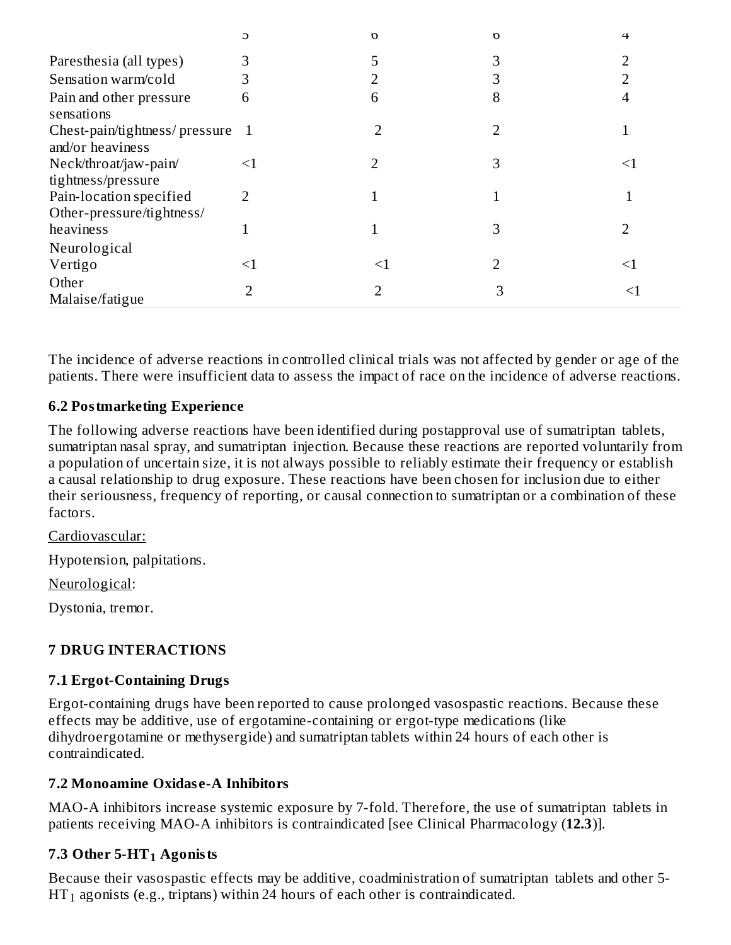|                                                      | G     | n  | $\Omega$ | 4        |
|------------------------------------------------------|-------|----|----------|----------|
| Paresthesia (all types)                              | З     | 5  | 3        |          |
| Sensation warm/cold                                  |       |    | 3        |          |
| Pain and other pressure<br>sensations                | 6     | 6  | 8        |          |
| Chest-pain/tightness/pressure<br>and/or heaviness    | -1    |    | 2        |          |
| Neck/throat/jaw-pain/<br>tightness/pressure          | $<$ 1 | フ  | З        | $\leq$ 1 |
| Pain-location specified<br>Other-pressure/tightness/ | 2     |    |          |          |
| heaviness<br>Neurological                            |       |    | 3        |          |
| Vertigo                                              | ≤1    | ≤1 | ר        | $\leq$ 1 |
| Other<br>Malaise/fatigue                             |       | 2  |          | <1       |

The incidence of adverse reactions in controlled clinical trials was not affected by gender or age of the patients. There were insufficient data to assess the impact of race on the incidence of adverse reactions.

#### **6.2 Postmarketing Experience**

The following adverse reactions have been identified during postapproval use of sumatriptan tablets, sumatriptan nasal spray, and sumatriptan injection. Because these reactions are reported voluntarily from a population of uncertain size, it is not always possible to reliably estimate their frequency or establish a causal relationship to drug exposure. These reactions have been chosen for inclusion due to either their seriousness, frequency of reporting, or causal connection to sumatriptan or a combination of these factors.

Cardiovascular:

Hypotension, palpitations.

Neurological:

Dystonia, tremor.

#### **7 DRUG INTERACTIONS**

#### **7.1 Ergot-Containing Drugs**

Ergot-containing drugs have been reported to cause prolonged vasospastic reactions. Because these effects may be additive, use of ergotamine-containing or ergot-type medications (like dihydroergotamine or methysergide) and sumatriptan tablets within 24 hours of each other is contraindicated.

#### **7.2 Monoamine Oxidas e-A Inhibitors**

MAO-A inhibitors increase systemic exposure by 7-fold. Therefore, the use of sumatriptan tablets in patients receiving MAO-A inhibitors is contraindicated [see Clinical Pharmacology (**12.3**)].

### **7.3 Other 5-HT Agonists 1**

Because their vasospastic effects may be additive, coadministration of sumatriptan tablets and other 5-  $HT_1$  agonists (e.g., triptans) within 24 hours of each other is contraindicated.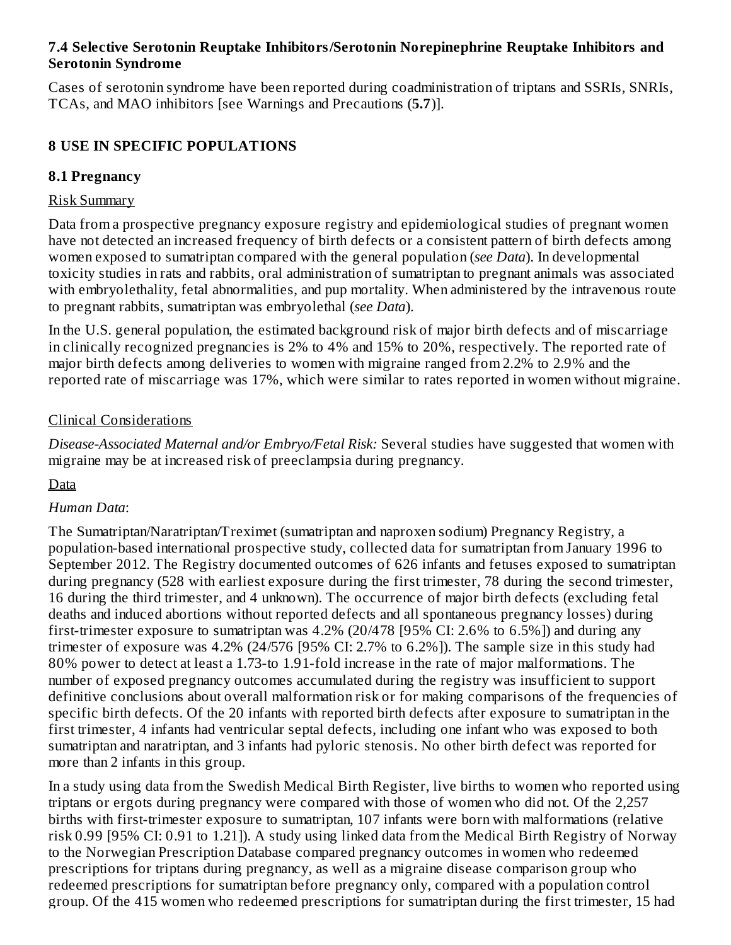#### **7.4 Selective Serotonin Reuptake Inhibitors/Serotonin Norepinephrine Reuptake Inhibitors and Serotonin Syndrome**

Cases of serotonin syndrome have been reported during coadministration of triptans and SSRIs, SNRIs, TCAs, and MAO inhibitors [see Warnings and Precautions (**5.7**)].

#### **8 USE IN SPECIFIC POPULATIONS**

#### **8.1 Pregnancy**

#### Risk Summary

Data from a prospective pregnancy exposure registry and epidemiological studies of pregnant women have not detected an increased frequency of birth defects or a consistent pattern of birth defects among women exposed to sumatriptan compared with the general population (*see Data*). In developmental toxicity studies in rats and rabbits, oral administration of sumatriptan to pregnant animals was associated with embryolethality, fetal abnormalities, and pup mortality. When administered by the intravenous route to pregnant rabbits, sumatriptan was embryolethal (*see Data*).

In the U.S. general population, the estimated background risk of major birth defects and of miscarriage in clinically recognized pregnancies is 2% to 4% and 15% to 20%, respectively. The reported rate of major birth defects among deliveries to women with migraine ranged from 2.2% to 2.9% and the reported rate of miscarriage was 17%, which were similar to rates reported in women without migraine.

#### Clinical Considerations

*Disease-Associated Maternal and/or Embryo/Fetal Risk:* Several studies have suggested that women with migraine may be at increased risk of preeclampsia during pregnancy.

Data

#### *Human Data*:

The Sumatriptan/Naratriptan/Treximet (sumatriptan and naproxen sodium) Pregnancy Registry, a population-based international prospective study, collected data for sumatriptan from January 1996 to September 2012. The Registry documented outcomes of 626 infants and fetuses exposed to sumatriptan during pregnancy (528 with earliest exposure during the first trimester, 78 during the second trimester, 16 during the third trimester, and 4 unknown). The occurrence of major birth defects (excluding fetal deaths and induced abortions without reported defects and all spontaneous pregnancy losses) during first-trimester exposure to sumatriptan was 4.2% (20/478 [95% CI: 2.6% to 6.5%]) and during any trimester of exposure was 4.2% (24/576 [95% CI: 2.7% to 6.2%]). The sample size in this study had 80% power to detect at least a 1.73-to 1.91-fold increase in the rate of major malformations. The number of exposed pregnancy outcomes accumulated during the registry was insufficient to support definitive conclusions about overall malformation risk or for making comparisons of the frequencies of specific birth defects. Of the 20 infants with reported birth defects after exposure to sumatriptan in the first trimester, 4 infants had ventricular septal defects, including one infant who was exposed to both sumatriptan and naratriptan, and 3 infants had pyloric stenosis. No other birth defect was reported for more than 2 infants in this group.

In a study using data from the Swedish Medical Birth Register, live births to women who reported using triptans or ergots during pregnancy were compared with those of women who did not. Of the 2,257 births with first-trimester exposure to sumatriptan, 107 infants were born with malformations (relative risk 0.99 [95% CI: 0.91 to 1.21]). A study using linked data from the Medical Birth Registry of Norway to the Norwegian Prescription Database compared pregnancy outcomes in women who redeemed prescriptions for triptans during pregnancy, as well as a migraine disease comparison group who redeemed prescriptions for sumatriptan before pregnancy only, compared with a population control group. Of the 415 women who redeemed prescriptions for sumatriptan during the first trimester, 15 had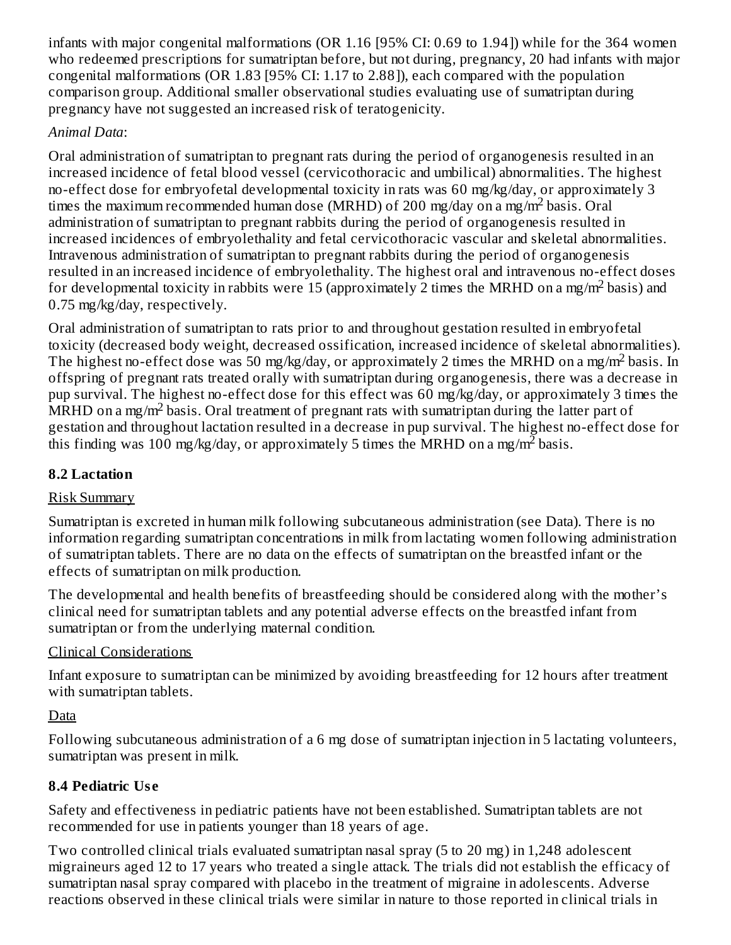infants with major congenital malformations (OR 1.16 [95% CI: 0.69 to 1.94]) while for the 364 women who redeemed prescriptions for sumatriptan before, but not during, pregnancy, 20 had infants with major congenital malformations (OR 1.83 [95% CI: 1.17 to 2.88]), each compared with the population comparison group. Additional smaller observational studies evaluating use of sumatriptan during pregnancy have not suggested an increased risk of teratogenicity.

### *Animal Data*:

Oral administration of sumatriptan to pregnant rats during the period of organogenesis resulted in an increased incidence of fetal blood vessel (cervicothoracic and umbilical) abnormalities. The highest no-effect dose for embryofetal developmental toxicity in rats was 60 mg/kg/day, or approximately 3 times the maximum recommended human dose (MRHD) of 200 mg/day on a mg/m<sup>2</sup> basis. Oral administration of sumatriptan to pregnant rabbits during the period of organogenesis resulted in increased incidences of embryolethality and fetal cervicothoracic vascular and skeletal abnormalities. Intravenous administration of sumatriptan to pregnant rabbits during the period of organogenesis resulted in an increased incidence of embryolethality. The highest oral and intravenous no-effect doses for developmental toxicity in rabbits were 15 (approximately 2 times the MRHD on a mg/m<sup>2</sup> basis) and 0.75 mg/kg/day, respectively.

Oral administration of sumatriptan to rats prior to and throughout gestation resulted in embryofetal toxicity (decreased body weight, decreased ossification, increased incidence of skeletal abnormalities). The highest no-effect dose was 50 mg/kg/day, or approximately 2 times the MRHD on a mg/m<sup>2</sup> basis. In offspring of pregnant rats treated orally with sumatriptan during organogenesis, there was a decrease in pup survival. The highest no-effect dose for this effect was 60 mg/kg/day, or approximately 3 times the  $\overline{\text{MRHD}}$  on a mg/m<sup>2</sup> basis. Oral treatment of pregnant rats with sumatriptan during the latter part of gestation and throughout lactation resulted in a decrease in pup survival. The highest no-effect dose for this finding was 100 mg/kg/day, or approximately 5 times the MRHD on a mg/m<sup>2</sup> basis.

### **8.2 Lactation**

### Risk Summary

Sumatriptan is excreted in human milk following subcutaneous administration (see Data). There is no information regarding sumatriptan concentrations in milk from lactating women following administration of sumatriptan tablets. There are no data on the effects of sumatriptan on the breastfed infant or the effects of sumatriptan on milk production.

The developmental and health benefits of breastfeeding should be considered along with the mother's clinical need for sumatriptan tablets and any potential adverse effects on the breastfed infant from sumatriptan or from the underlying maternal condition.

# Clinical Considerations

Infant exposure to sumatriptan can be minimized by avoiding breastfeeding for 12 hours after treatment with sumatriptan tablets.

Data

Following subcutaneous administration of a 6 mg dose of sumatriptan injection in 5 lactating volunteers, sumatriptan was present in milk.

# **8.4 Pediatric Us e**

Safety and effectiveness in pediatric patients have not been established. Sumatriptan tablets are not recommended for use in patients younger than 18 years of age.

Two controlled clinical trials evaluated sumatriptan nasal spray (5 to 20 mg) in 1,248 adolescent migraineurs aged 12 to 17 years who treated a single attack. The trials did not establish the efficacy of sumatriptan nasal spray compared with placebo in the treatment of migraine in adolescents. Adverse reactions observed in these clinical trials were similar in nature to those reported in clinical trials in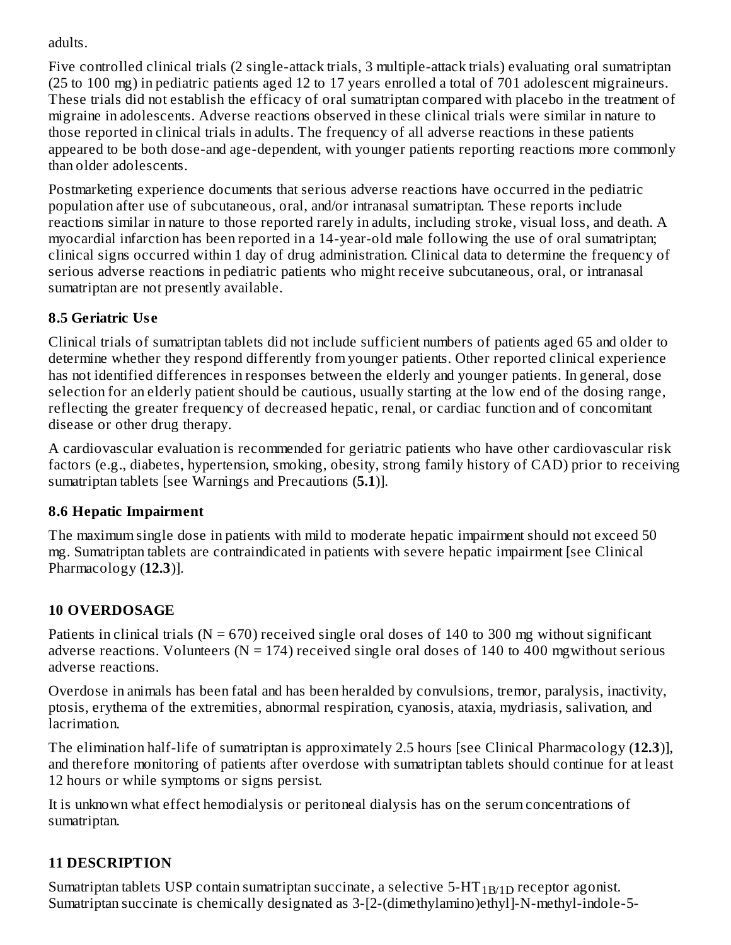adults.

Five controlled clinical trials (2 single-attack trials, 3 multiple-attack trials) evaluating oral sumatriptan (25 to 100 mg) in pediatric patients aged 12 to 17 years enrolled a total of 701 adolescent migraineurs. These trials did not establish the efficacy of oral sumatriptan compared with placebo in the treatment of migraine in adolescents. Adverse reactions observed in these clinical trials were similar in nature to those reported in clinical trials in adults. The frequency of all adverse reactions in these patients appeared to be both dose-and age-dependent, with younger patients reporting reactions more commonly than older adolescents.

Postmarketing experience documents that serious adverse reactions have occurred in the pediatric population after use of subcutaneous, oral, and/or intranasal sumatriptan. These reports include reactions similar in nature to those reported rarely in adults, including stroke, visual loss, and death. A myocardial infarction has been reported in a 14-year-old male following the use of oral sumatriptan; clinical signs occurred within 1 day of drug administration. Clinical data to determine the frequency of serious adverse reactions in pediatric patients who might receive subcutaneous, oral, or intranasal sumatriptan are not presently available.

### **8.5 Geriatric Us e**

Clinical trials of sumatriptan tablets did not include sufficient numbers of patients aged 65 and older to determine whether they respond differently from younger patients. Other reported clinical experience has not identified differences in responses between the elderly and younger patients. In general, dose selection for an elderly patient should be cautious, usually starting at the low end of the dosing range, reflecting the greater frequency of decreased hepatic, renal, or cardiac function and of concomitant disease or other drug therapy.

A cardiovascular evaluation is recommended for geriatric patients who have other cardiovascular risk factors (e.g., diabetes, hypertension, smoking, obesity, strong family history of CAD) prior to receiving sumatriptan tablets [see Warnings and Precautions (**5.1**)].

### **8.6 Hepatic Impairment**

The maximum single dose in patients with mild to moderate hepatic impairment should not exceed 50 mg. Sumatriptan tablets are contraindicated in patients with severe hepatic impairment [see Clinical Pharmacology (**12.3**)].

# **10 OVERDOSAGE**

Patients in clinical trials ( $N = 670$ ) received single oral doses of 140 to 300 mg without significant adverse reactions. Volunteers ( $N = 174$ ) received single oral doses of 140 to 400 mgwithout serious adverse reactions.

Overdose in animals has been fatal and has been heralded by convulsions, tremor, paralysis, inactivity, ptosis, erythema of the extremities, abnormal respiration, cyanosis, ataxia, mydriasis, salivation, and lacrimation.

The elimination half-life of sumatriptan is approximately 2.5 hours [see Clinical Pharmacology (**12.3**)], and therefore monitoring of patients after overdose with sumatriptan tablets should continue for at least 12 hours or while symptoms or signs persist.

It is unknown what effect hemodialysis or peritoneal dialysis has on the serum concentrations of sumatriptan.

# **11 DESCRIPTION**

Sumatriptan tablets USP contain sumatriptan succinate, a selective 5-HT  $_{\rm 1B/1D}$  receptor agonist. Sumatriptan succinate is chemically designated as 3-[2-(dimethylamino)ethyl]-N-methyl-indole-5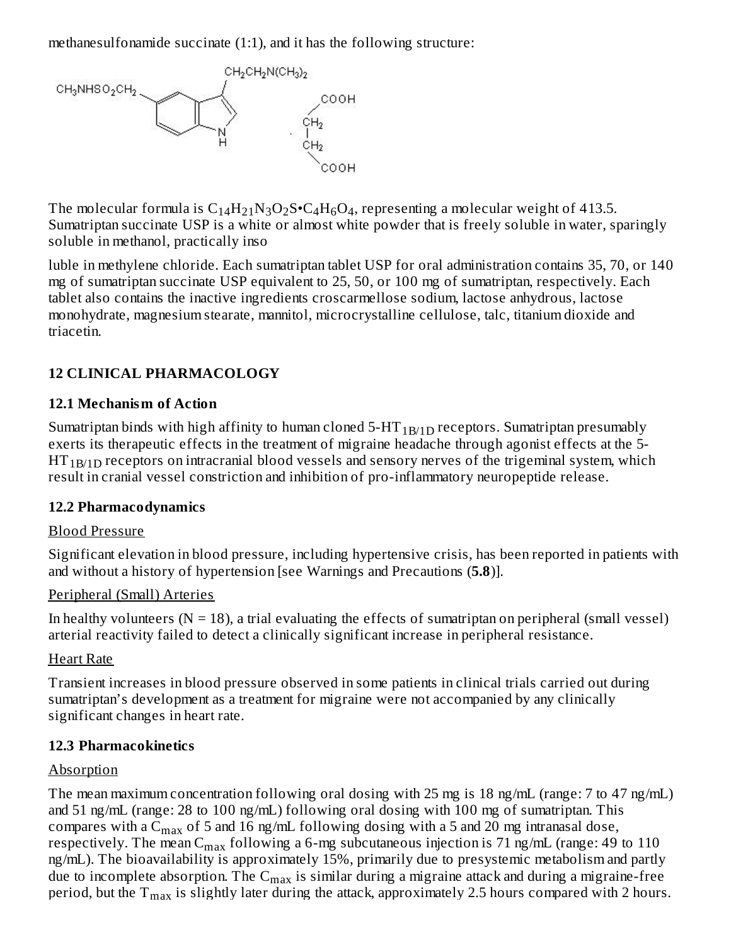methanesulfonamide succinate (1:1), and it has the following structure:



The molecular formula is  $C_{14}H_{21}N_3O_2S\cdot C_4H_6O_4$ , representing a molecular weight of 413.5. Sumatriptan succinate USP is a white or almost white powder that is freely soluble in water, sparingly soluble in methanol, practically inso

luble in methylene chloride. Each sumatriptan tablet USP for oral administration contains 35, 70, or 140 mg of sumatriptan succinate USP equivalent to 25, 50, or 100 mg of sumatriptan, respectively. Each tablet also contains the inactive ingredients croscarmellose sodium, lactose anhydrous, lactose monohydrate, magnesium stearate, mannitol, microcrystalline cellulose, talc, titanium dioxide and triacetin.

#### **12 CLINICAL PHARMACOLOGY**

#### **12.1 Mechanism of Action**

Sumatriptan binds with high affinity to human cloned 5-HT  $_{\rm 1B/1D}$  receptors. Sumatriptan presumably exerts its therapeutic effects in the treatment of migraine headache through agonist effects at the 5-  $\mathrm{HT_{1B/1D}}$  receptors on intracranial blood vessels and sensory nerves of the trigeminal system, which result in cranial vessel constriction and inhibition of pro-inflammatory neuropeptide release.

#### **12.2 Pharmacodynamics**

#### Blood Pressure

Significant elevation in blood pressure, including hypertensive crisis, has been reported in patients with and without a history of hypertension [see Warnings and Precautions (**5.8**)].

#### Peripheral (Small) Arteries

In healthy volunteers ( $N = 18$ ), a trial evaluating the effects of sumatriptan on peripheral (small vessel) arterial reactivity failed to detect a clinically significant increase in peripheral resistance.

#### Heart Rate

Transient increases in blood pressure observed in some patients in clinical trials carried out during sumatriptan's development as a treatment for migraine were not accompanied by any clinically significant changes in heart rate.

#### **12.3 Pharmacokinetics**

#### Absorption

The mean maximum concentration following oral dosing with 25 mg is 18 ng/mL (range: 7 to 47 ng/mL) and 51 ng/mL (range: 28 to 100 ng/mL) following oral dosing with 100 mg of sumatriptan. This compares with a  $\mathsf{C}_{\max}$  of 5 and 16 ng/mL following dosing with a 5 and 20 mg intranasal dose, respectively. The mean  $\rm{C_{max}}$  following a 6-mg subcutaneous injection is 71 ng/mL (range: 49 to 110 ng/mL). The bioavailability is approximately 15%, primarily due to presystemic metabolism and partly due to incomplete absorption. The  $\mathsf{C}_{\max}$  is similar during a migraine attack and during a migraine-free period, but the  $T_{\rm max}$  is slightly later during the attack, approximately 2.5 hours compared with 2 hours.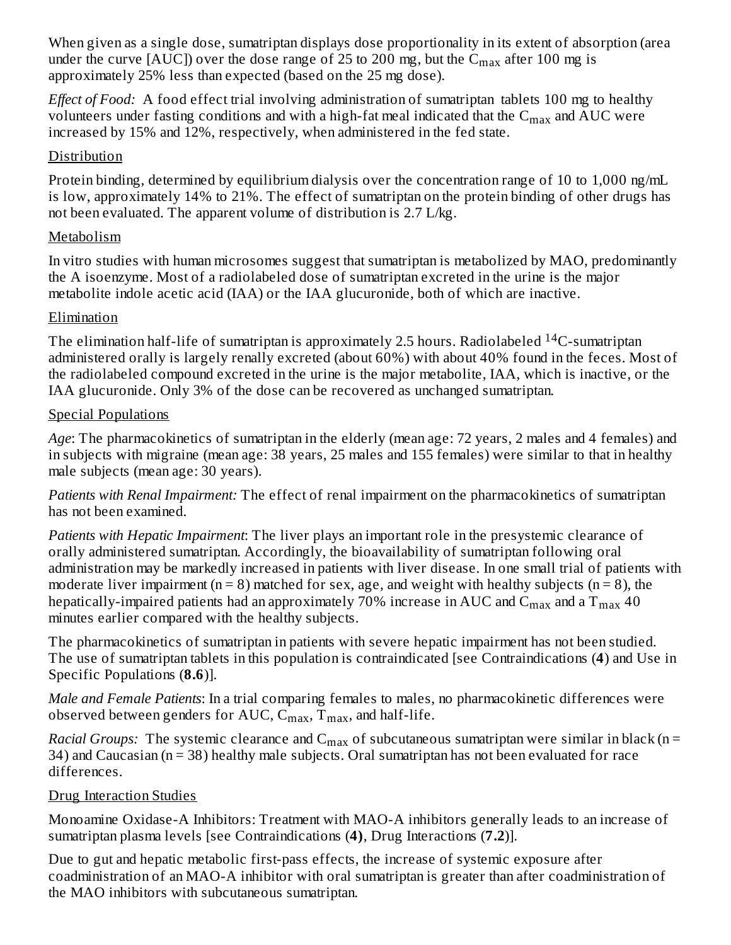When given as a single dose, sumatriptan displays dose proportionality in its extent of absorption (area under the curve [AUC]) over the dose range of 25 to 200 mg, but the  $\rm{C_{max}}$  after 100 mg is approximately 25% less than expected (based on the 25 mg dose). ...<sub>...</sub>.

*Effect of Food:* A food effect trial involving administration of sumatriptan tablets 100 mg to healthy volunteers under fasting conditions and with a high-fat meal indicated that the  $\rm{C_{max}}$  and  $\rm{AUC}$  were increased by 15% and 12%, respectively, when administered in the fed state.

#### Distribution

Protein binding, determined by equilibrium dialysis over the concentration range of 10 to 1,000 ng/mL is low, approximately 14% to 21%. The effect of sumatriptan on the protein binding of other drugs has not been evaluated. The apparent volume of distribution is 2.7 L/kg.

#### Metabolism

In vitro studies with human microsomes suggest that sumatriptan is metabolized by MAO, predominantly the A isoenzyme. Most of a radiolabeled dose of sumatriptan excreted in the urine is the major metabolite indole acetic acid (IAA) or the IAA glucuronide, both of which are inactive.

#### Elimination

The elimination half-life of sumatriptan is approximately 2.5 hours. Radiolabeled  $^{14}$ C-sumatriptan administered orally is largely renally excreted (about 60%) with about 40% found in the feces. Most of the radiolabeled compound excreted in the urine is the major metabolite, IAA, which is inactive, or the IAA glucuronide. Only 3% of the dose can be recovered as unchanged sumatriptan.

#### Special Populations

*Age*: The pharmacokinetics of sumatriptan in the elderly (mean age: 72 years, 2 males and 4 females) and in subjects with migraine (mean age: 38 years, 25 males and 155 females) were similar to that in healthy male subjects (mean age: 30 years).

*Patients with Renal Impairment:* The effect of renal impairment on the pharmacokinetics of sumatriptan has not been examined.

*Patients with Hepatic Impairment*: The liver plays an important role in the presystemic clearance of orally administered sumatriptan. Accordingly, the bioavailability of sumatriptan following oral administration may be markedly increased in patients with liver disease. In one small trial of patients with moderate liver impairment ( $n = 8$ ) matched for sex, age, and weight with healthy subjects ( $n = 8$ ), the hepatically-impaired patients had an approximately 70% increase in AUC and  $\rm{C_{max}}$  and a  $\rm{T_{max}}$  40 minutes earlier compared with the healthy subjects.

The pharmacokinetics of sumatriptan in patients with severe hepatic impairment has not been studied. The use of sumatriptan tablets in this population is contraindicated [see Contraindications (**4**) and Use in Specific Populations (**8.6**)].

*Male and Female Patients*: In a trial comparing females to males, no pharmacokinetic differences were observed between genders for AUC,  $\mathsf{C_{max}, T_{max}},$  and half-life.

*Racial Groups:* The systemic clearance and  $C_{max}$  of subcutaneous sumatriptan were similar in black (n = 34) and Caucasian (n = 38) healthy male subjects. Oral sumatriptan has not been evaluated for race differences.

#### Drug Interaction Studies

Monoamine Oxidase-A Inhibitors: Treatment with MAO-A inhibitors generally leads to an increase of sumatriptan plasma levels [see Contraindications (**4)**, Drug Interactions (**7.2**)].

Due to gut and hepatic metabolic first-pass effects, the increase of systemic exposure after coadministration of an MAO-A inhibitor with oral sumatriptan is greater than after coadministration of the MAO inhibitors with subcutaneous sumatriptan.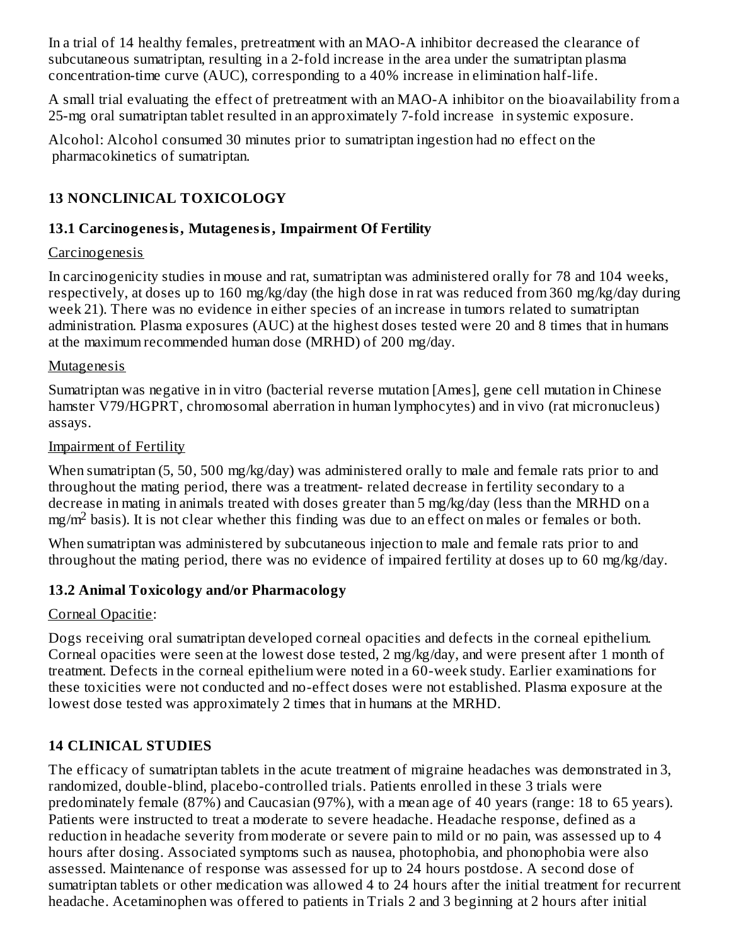In a trial of 14 healthy females, pretreatment with an MAO-A inhibitor decreased the clearance of subcutaneous sumatriptan, resulting in a 2-fold increase in the area under the sumatriptan plasma concentration-time curve (AUC), corresponding to a 40% increase in elimination half-life.

A small trial evaluating the effect of pretreatment with an MAO-A inhibitor on the bioavailability from a 25-mg oral sumatriptan tablet resulted in an approximately 7-fold increase in systemic exposure.

Alcohol: Alcohol consumed 30 minutes prior to sumatriptan ingestion had no effect on the pharmacokinetics of sumatriptan.

### **13 NONCLINICAL TOXICOLOGY**

#### **13.1 Carcinogenesis, Mutagenesis, Impairment Of Fertility**

#### Carcinogenesis

In carcinogenicity studies in mouse and rat, sumatriptan was administered orally for 78 and 104 weeks, respectively, at doses up to 160 mg/kg/day (the high dose in rat was reduced from 360 mg/kg/day during week 21). There was no evidence in either species of an increase in tumors related to sumatriptan administration. Plasma exposures (AUC) at the highest doses tested were 20 and 8 times that in humans at the maximum recommended human dose (MRHD) of 200 mg/day.

#### Mutagenesis

Sumatriptan was negative in in vitro (bacterial reverse mutation [Ames], gene cell mutation in Chinese hamster V79/HGPRT, chromosomal aberration in human lymphocytes) and in vivo (rat micronucleus) assays.

#### Impairment of Fertility

When sumatriptan (5, 50, 500 mg/kg/day) was administered orally to male and female rats prior to and throughout the mating period, there was a treatment- related decrease in fertility secondary to a decrease in mating in animals treated with doses greater than 5 mg/kg/day (less than the MRHD on a  $mg/m<sup>2</sup>$  basis). It is not clear whether this finding was due to an effect on males or females or both.

When sumatriptan was administered by subcutaneous injection to male and female rats prior to and throughout the mating period, there was no evidence of impaired fertility at doses up to 60 mg/kg/day.

### **13.2 Animal Toxicology and/or Pharmacology**

#### Corneal Opacitie:

Dogs receiving oral sumatriptan developed corneal opacities and defects in the corneal epithelium. Corneal opacities were seen at the lowest dose tested, 2 mg/kg/day, and were present after 1 month of treatment. Defects in the corneal epithelium were noted in a 60-week study. Earlier examinations for these toxicities were not conducted and no-effect doses were not established. Plasma exposure at the lowest dose tested was approximately 2 times that in humans at the MRHD.

### **14 CLINICAL STUDIES**

The efficacy of sumatriptan tablets in the acute treatment of migraine headaches was demonstrated in 3, randomized, double-blind, placebo-controlled trials. Patients enrolled in these 3 trials were predominately female (87%) and Caucasian (97%), with a mean age of 40 years (range: 18 to 65 years). Patients were instructed to treat a moderate to severe headache. Headache response, defined as a reduction in headache severity from moderate or severe pain to mild or no pain, was assessed up to 4 hours after dosing. Associated symptoms such as nausea, photophobia, and phonophobia were also assessed. Maintenance of response was assessed for up to 24 hours postdose. A second dose of sumatriptan tablets or other medication was allowed 4 to 24 hours after the initial treatment for recurrent headache. Acetaminophen was offered to patients in Trials 2 and 3 beginning at 2 hours after initial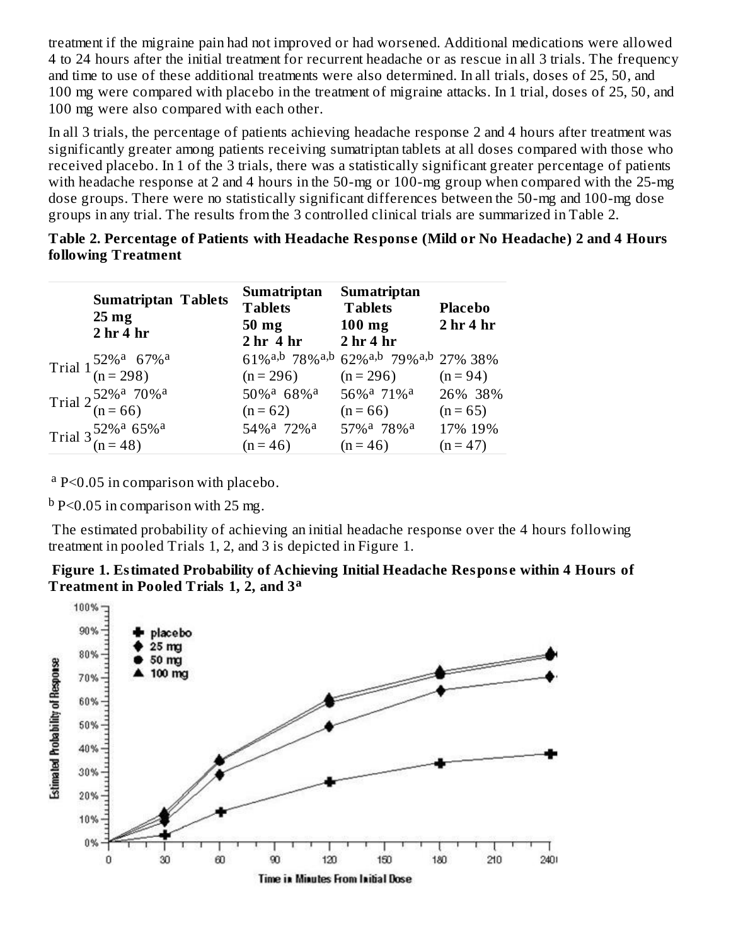treatment if the migraine pain had not improved or had worsened. Additional medications were allowed 4 to 24 hours after the initial treatment for recurrent headache or as rescue in all 3 trials. The frequency and time to use of these additional treatments were also determined. In all trials, doses of 25, 50, and 100 mg were compared with placebo in the treatment of migraine attacks. In 1 trial, doses of 25, 50, and 100 mg were also compared with each other.

In all 3 trials, the percentage of patients achieving headache response 2 and 4 hours after treatment was significantly greater among patients receiving sumatriptan tablets at all doses compared with those who received placebo. In 1 of the 3 trials, there was a statistically significant greater percentage of patients with headache response at 2 and 4 hours in the 50-mg or 100-mg group when compared with the 25-mg dose groups. There were no statistically significant differences between the 50-mg and 100-mg dose groups in any trial. The results from the 3 controlled clinical trials are summarized in Table 2.

| Table 2. Percentage of Patients with Headache Response (Mild or No Headache) 2 and 4 Hours |  |  |
|--------------------------------------------------------------------------------------------|--|--|
| following Treatment                                                                        |  |  |

| <b>Sumatriptan Tablets</b><br>$25 \text{ mg}$<br>2 <sub>hr</sub> 4 <sub>hr</sub> | <b>Sumatriptan</b><br><b>Tablets</b><br>50 mg<br>2 hr 4 hr 2 hr 4 hr | <b>Sumatriptan</b><br><b>Tablets</b><br>$100$ mg | <b>Placebo</b><br>2 <sub>hr</sub> 4 <sub>hr</sub> |
|----------------------------------------------------------------------------------|----------------------------------------------------------------------|--------------------------------------------------|---------------------------------------------------|
| Trial $1\frac{52\%^a}{(n=298)}$                                                  |                                                                      | 61%a,b 78%a,b 62%a,b 79%a,b 27% 38%              |                                                   |
|                                                                                  | $(n = 296)$                                                          | $(n = 296)$                                      | $(n = 94)$                                        |
| Trial $2\frac{52\%^a}{(n=66)}$                                                   | 50% <sup>a</sup> 68% <sup>a</sup>                                    | 56% <sup>a</sup> 71% <sup>a</sup>                | 26% 38%                                           |
|                                                                                  | $(n = 62)$                                                           | $(n = 66)$                                       | $(n = 65)$                                        |
| Trial $3\frac{52\%^a}{(n=48)}$                                                   | 54% <sup>a</sup> 72% <sup>a</sup>                                    | 57% <sup>a</sup> 78% <sup>a</sup>                | 17% 19%                                           |
|                                                                                  | $(n = 46)$                                                           | $(n = 46)$                                       | $(n = 47)$                                        |

<sup>a</sup> P<0.05 in comparison with placebo.

 $^{\rm b}$  P<0.05 in comparison with 25 mg.

The estimated probability of achieving an initial headache response over the 4 hours following treatment in pooled Trials 1, 2, and 3 is depicted in Figure 1.



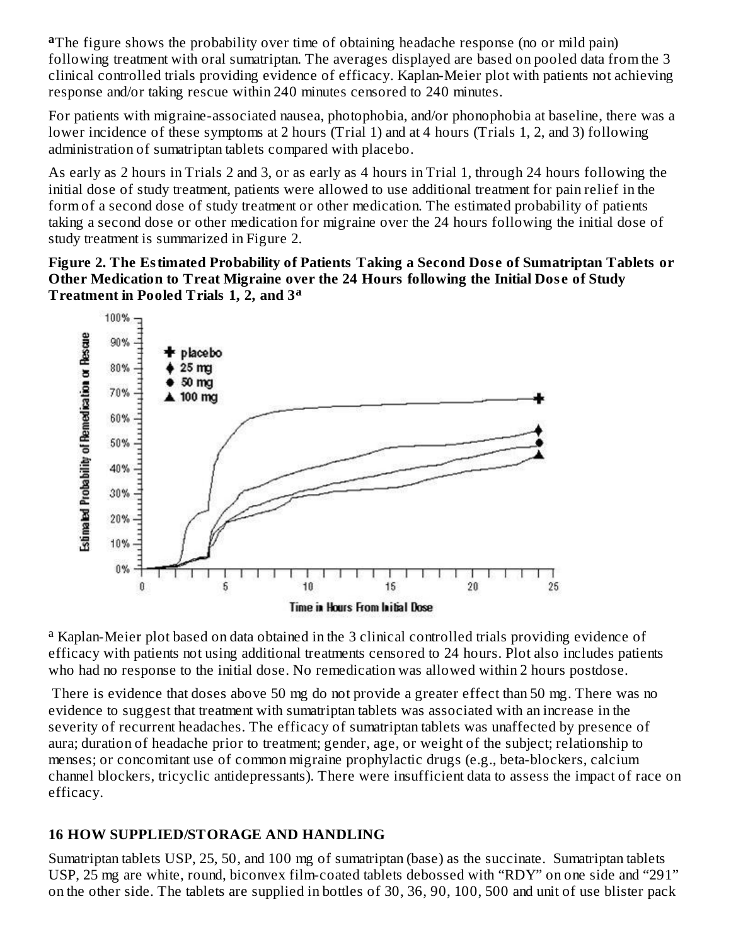aThe figure shows the probability over time of obtaining headache response (no or mild pain) following treatment with oral sumatriptan. The averages displayed are based on pooled data from the 3 clinical controlled trials providing evidence of efficacy. Kaplan-Meier plot with patients not achieving response and/or taking rescue within 240 minutes censored to 240 minutes.

For patients with migraine-associated nausea, photophobia, and/or phonophobia at baseline, there was a lower incidence of these symptoms at 2 hours (Trial 1) and at 4 hours (Trials 1, 2, and 3) following administration of sumatriptan tablets compared with placebo.

As early as 2 hours in Trials 2 and 3, or as early as 4 hours in Trial 1, through 24 hours following the initial dose of study treatment, patients were allowed to use additional treatment for pain relief in the form of a second dose of study treatment or other medication. The estimated probability of patients taking a second dose or other medication for migraine over the 24 hours following the initial dose of study treatment is summarized in Figure 2.

**Figure 2. The Estimated Probability of Patients Taking a Second Dos e of Sumatriptan Tablets or Other Medication to Treat Migraine over the 24 Hours following the Initial Dos e of Study Treatment in Pooled Trials 1, 2, and 3 a**



<sup>a</sup> Kaplan-Meier plot based on data obtained in the 3 clinical controlled trials providing evidence of efficacy with patients not using additional treatments censored to 24 hours. Plot also includes patients who had no response to the initial dose. No remedication was allowed within 2 hours postdose.

There is evidence that doses above 50 mg do not provide a greater effect than 50 mg. There was no evidence to suggest that treatment with sumatriptan tablets was associated with an increase in the severity of recurrent headaches. The efficacy of sumatriptan tablets was unaffected by presence of aura; duration of headache prior to treatment; gender, age, or weight of the subject; relationship to menses; or concomitant use of common migraine prophylactic drugs (e.g., beta-blockers, calcium channel blockers, tricyclic antidepressants). There were insufficient data to assess the impact of race on efficacy.

#### **16 HOW SUPPLIED/STORAGE AND HANDLING**

Sumatriptan tablets USP, 25, 50, and 100 mg of sumatriptan (base) as the succinate. Sumatriptan tablets USP, 25 mg are white, round, biconvex film-coated tablets debossed with "RDY" on one side and "291" on the other side. The tablets are supplied in bottles of 30, 36, 90, 100, 500 and unit of use blister pack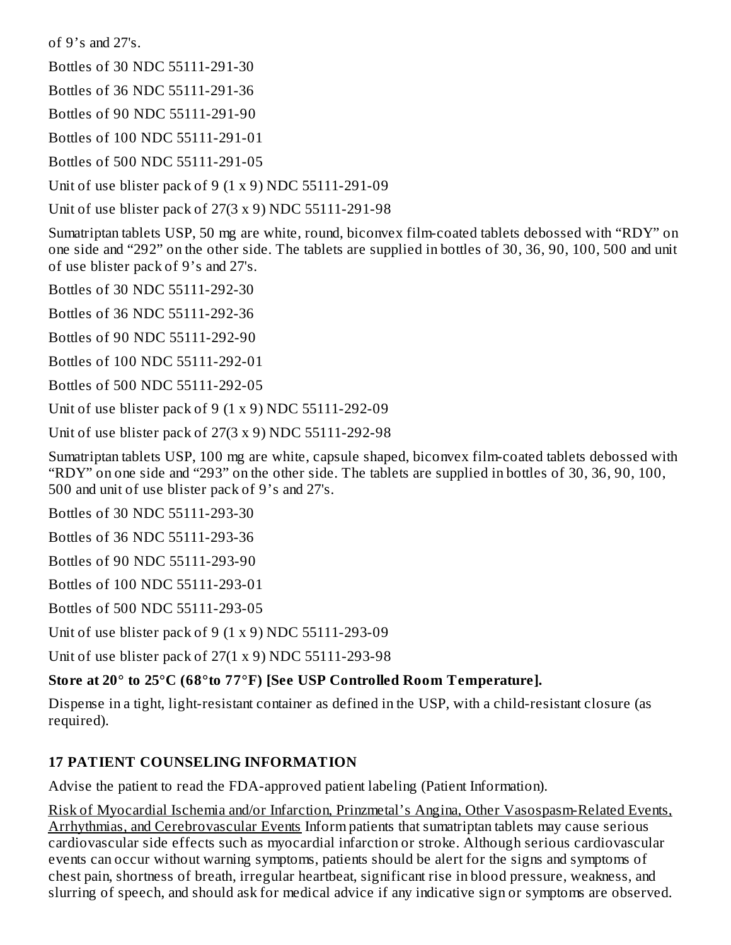of 9's and 27's.

Bottles of 30 NDC 55111-291-30

Bottles of 36 NDC 55111-291-36

Bottles of 90 NDC 55111-291-90

Bottles of 100 NDC 55111-291-01

Bottles of 500 NDC 55111-291-05

Unit of use blister pack of 9 (1 x 9) NDC 55111-291-09

Unit of use blister pack of 27(3 x 9) NDC 55111-291-98

Sumatriptan tablets USP, 50 mg are white, round, biconvex film-coated tablets debossed with "RDY" on one side and "292" on the other side. The tablets are supplied in bottles of 30, 36, 90, 100, 500 and unit of use blister pack of 9's and 27's.

Bottles of 30 NDC 55111-292-30

Bottles of 36 NDC 55111-292-36

Bottles of 90 NDC 55111-292-90

Bottles of 100 NDC 55111-292-01

Bottles of 500 NDC 55111-292-05

Unit of use blister pack of 9 (1 x 9) NDC 55111-292-09

Unit of use blister pack of 27(3 x 9) NDC 55111-292-98

Sumatriptan tablets USP, 100 mg are white, capsule shaped, biconvex film-coated tablets debossed with "RDY" on one side and "293" on the other side. The tablets are supplied in bottles of 30, 36, 90, 100, 500 and unit of use blister pack of 9's and 27's.

Bottles of 30 NDC 55111-293-30

Bottles of 36 NDC 55111-293-36

Bottles of 90 NDC 55111-293-90

Bottles of 100 NDC 55111-293-01

Bottles of 500 NDC 55111-293-05

Unit of use blister pack of 9 (1 x 9) NDC 55111-293-09

Unit of use blister pack of 27(1 x 9) NDC 55111-293-98

#### **Store at 20° to 25°C (68°to 77°F) [See USP Controlled Room Temperature].**

Dispense in a tight, light-resistant container as defined in the USP, with a child-resistant closure (as required).

#### **17 PATIENT COUNSELING INFORMATION**

Advise the patient to read the FDA-approved patient labeling (Patient Information).

Risk of Myocardial Ischemia and/or Infarction, Prinzmetal's Angina, Other Vasospasm-Related Events, Arrhythmias, and Cerebrovascular Events Inform patients that sumatriptan tablets may cause serious cardiovascular side effects such as myocardial infarction or stroke. Although serious cardiovascular events can occur without warning symptoms, patients should be alert for the signs and symptoms of chest pain, shortness of breath, irregular heartbeat, significant rise in blood pressure, weakness, and slurring of speech, and should ask for medical advice if any indicative sign or symptoms are observed.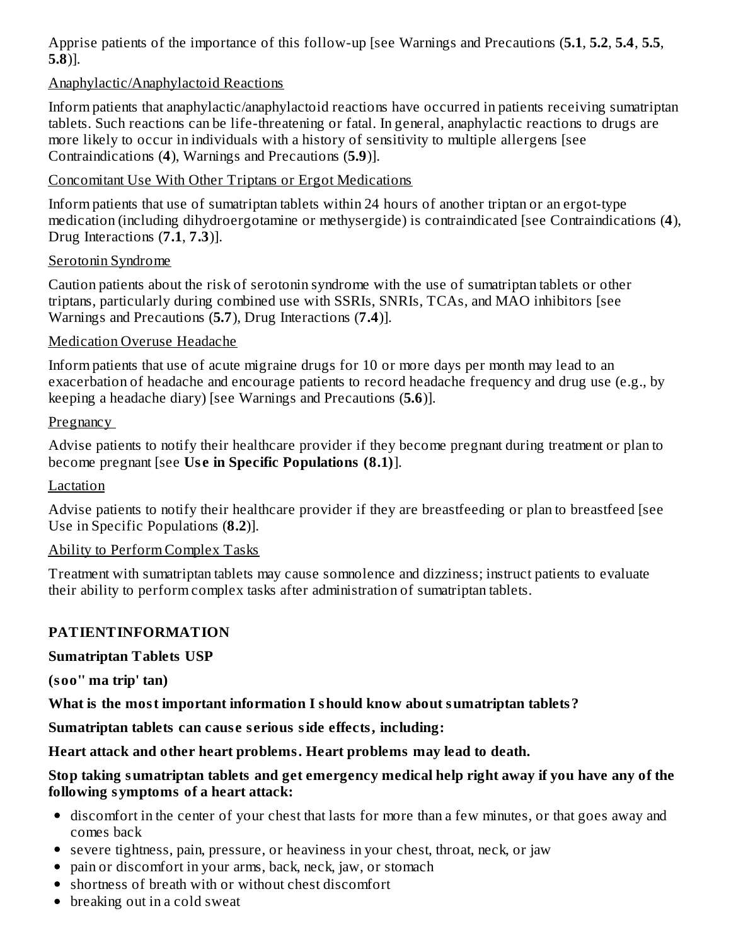Apprise patients of the importance of this follow-up [see Warnings and Precautions (**5.1**, **5.2**, **5.4**, **5.5**, **5.8**)].

#### Anaphylactic/Anaphylactoid Reactions

Inform patients that anaphylactic/anaphylactoid reactions have occurred in patients receiving sumatriptan tablets. Such reactions can be life-threatening or fatal. In general, anaphylactic reactions to drugs are more likely to occur in individuals with a history of sensitivity to multiple allergens [see Contraindications (**4**), Warnings and Precautions (**5.9**)].

Concomitant Use With Other Triptans or Ergot Medications

Inform patients that use of sumatriptan tablets within 24 hours of another triptan or an ergot-type medication (including dihydroergotamine or methysergide) is contraindicated [see Contraindications (**4**), Drug Interactions (**7.1**, **7.3**)].

#### Serotonin Syndrome

Caution patients about the risk of serotonin syndrome with the use of sumatriptan tablets or other triptans, particularly during combined use with SSRIs, SNRIs, TCAs, and MAO inhibitors [see Warnings and Precautions (**5.7**), Drug Interactions (**7.4**)].

#### Medication Overuse Headache

Inform patients that use of acute migraine drugs for 10 or more days per month may lead to an exacerbation of headache and encourage patients to record headache frequency and drug use (e.g., by keeping a headache diary) [see Warnings and Precautions (**5.6**)].

#### **Pregnancy**

Advise patients to notify their healthcare provider if they become pregnant during treatment or plan to become pregnant [see **Us e in Specific Populations (8.1)**].

#### Lactation

Advise patients to notify their healthcare provider if they are breastfeeding or plan to breastfeed [see Use in Specific Populations (**8.2**)].

#### Ability to Perform Complex Tasks

Treatment with sumatriptan tablets may cause somnolence and dizziness; instruct patients to evaluate their ability to perform complex tasks after administration of sumatriptan tablets.

#### **PATIENTINFORMATION**

#### **Sumatriptan Tablets USP**

**(soo'' ma trip' tan)**

**What is the most important information I should know about sumatriptan tablets?**

**Sumatriptan tablets can caus e s erious side effects, including:**

**Heart attack and other heart problems. Heart problems may lead to death.**

#### **Stop taking sumatriptan tablets and get emergency medical help right away if you have any of the following symptoms of a heart attack:**

- discomfort in the center of your chest that lasts for more than a few minutes, or that goes away and comes back
- severe tightness, pain, pressure, or heaviness in your chest, throat, neck, or jaw
- pain or discomfort in your arms, back, neck, jaw, or stomach
- shortness of breath with or without chest discomfort
- breaking out in a cold sweat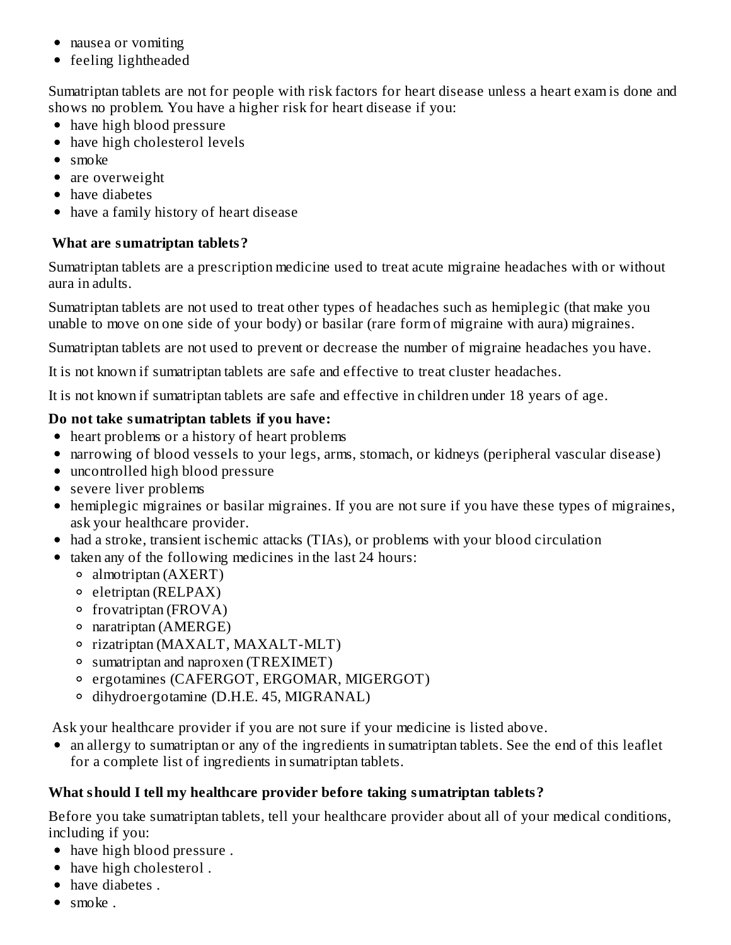- nausea or vomiting
- feeling lightheaded

Sumatriptan tablets are not for people with risk factors for heart disease unless a heart exam is done and shows no problem. You have a higher risk for heart disease if you:

- have high blood pressure
- have high cholesterol levels
- smoke
- are overweight
- have diabetes
- have a family history of heart disease

#### **What are sumatriptan tablets?**

Sumatriptan tablets are a prescription medicine used to treat acute migraine headaches with or without aura in adults.

Sumatriptan tablets are not used to treat other types of headaches such as hemiplegic (that make you unable to move on one side of your body) or basilar (rare form of migraine with aura) migraines.

Sumatriptan tablets are not used to prevent or decrease the number of migraine headaches you have.

It is not known if sumatriptan tablets are safe and effective to treat cluster headaches.

It is not known if sumatriptan tablets are safe and effective in children under 18 years of age.

#### **Do not take sumatriptan tablets if you have:**

- heart problems or a history of heart problems
- narrowing of blood vessels to your legs, arms, stomach, or kidneys (peripheral vascular disease)
- uncontrolled high blood pressure
- severe liver problems
- hemiplegic migraines or basilar migraines. If you are not sure if you have these types of migraines, ask your healthcare provider.
- had a stroke, transient ischemic attacks (TIAs), or problems with your blood circulation
- taken any of the following medicines in the last 24 hours:
	- almotriptan (AXERT)
	- $\circ$  eletriptan (RELPAX)
	- $\circ$  frovatriptan (FROVA)
	- $\circ$  naratriptan (AMERGE)
	- rizatriptan (MAXALT, MAXALT-MLT)
	- sumatriptan and naproxen (TREXIMET)
	- ergotamines (CAFERGOT, ERGOMAR, MIGERGOT)
	- dihydroergotamine (D.H.E. 45, MIGRANAL)

Ask your healthcare provider if you are not sure if your medicine is listed above.

• an allergy to sumatriptan or any of the ingredients in sumatriptan tablets. See the end of this leaflet for a complete list of ingredients in sumatriptan tablets.

#### **What should I tell my healthcare provider before taking sumatriptan tablets?**

Before you take sumatriptan tablets, tell your healthcare provider about all of your medical conditions, including if you:

- have high blood pressure .
- have high cholesterol.
- have diabetes.
- $\bullet$  smoke.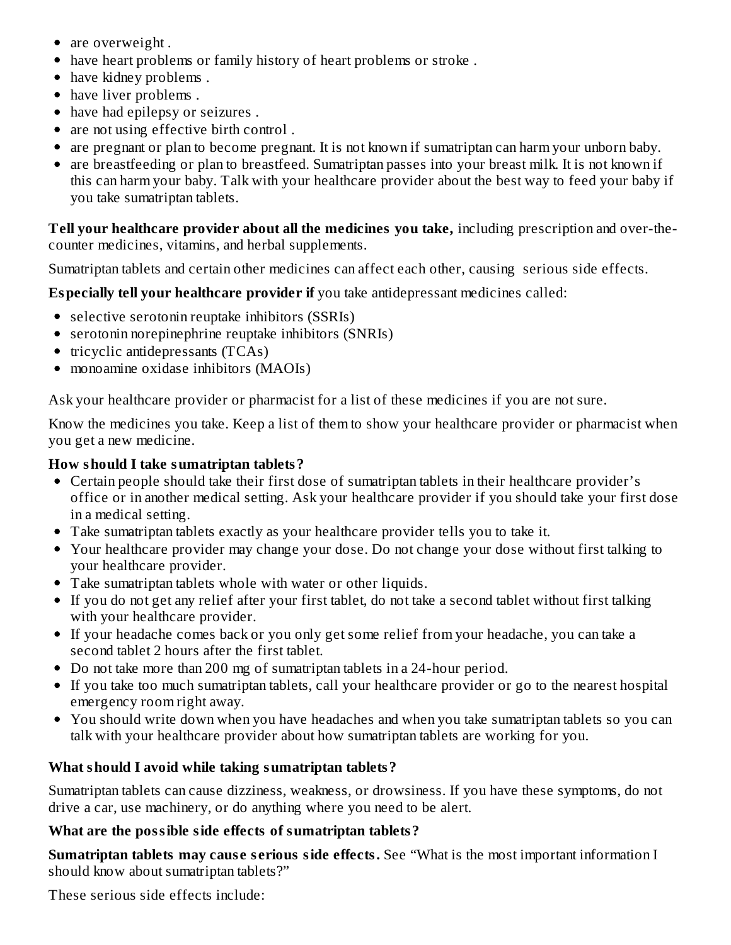- are overweight.
- have heart problems or family history of heart problems or stroke .
- have kidney problems.
- have liver problems.
- have had epilepsy or seizures .
- are not using effective birth control.
- are pregnant or plan to become pregnant. It is not known if sumatriptan can harm your unborn baby.
- are breastfeeding or plan to breastfeed. Sumatriptan passes into your breast milk. It is not known if this can harm your baby. Talk with your healthcare provider about the best way to feed your baby if you take sumatriptan tablets.

**Tell your healthcare provider about all the medicines you take,** including prescription and over-thecounter medicines, vitamins, and herbal supplements.

Sumatriptan tablets and certain other medicines can affect each other, causing serious side effects.

**Especially tell your healthcare provider if** you take antidepressant medicines called:

- selective serotonin reuptake inhibitors (SSRIs)
- serotonin norepinephrine reuptake inhibitors (SNRIs)
- $\bullet$  tricyclic antidepressants (TCAs)
- monoamine oxidase inhibitors (MAOIs)

Ask your healthcare provider or pharmacist for a list of these medicines if you are not sure.

Know the medicines you take. Keep a list of them to show your healthcare provider or pharmacist when you get a new medicine.

### **How should I take sumatriptan tablets?**

- Certain people should take their first dose of sumatriptan tablets in their healthcare provider's office or in another medical setting. Ask your healthcare provider if you should take your first dose in a medical setting.
- Take sumatriptan tablets exactly as your healthcare provider tells you to take it.
- Your healthcare provider may change your dose. Do not change your dose without first talking to your healthcare provider.
- Take sumatriptan tablets whole with water or other liquids.
- If you do not get any relief after your first tablet, do not take a second tablet without first talking with your healthcare provider.
- If your headache comes back or you only get some relief from your headache, you can take a second tablet 2 hours after the first tablet.
- Do not take more than 200 mg of sumatriptan tablets in a 24-hour period.
- If you take too much sumatriptan tablets, call your healthcare provider or go to the nearest hospital emergency room right away.
- You should write down when you have headaches and when you take sumatriptan tablets so you can talk with your healthcare provider about how sumatriptan tablets are working for you.

### **What should I avoid while taking sumatriptan tablets?**

Sumatriptan tablets can cause dizziness, weakness, or drowsiness. If you have these symptoms, do not drive a car, use machinery, or do anything where you need to be alert.

### **What are the possible side effects of sumatriptan tablets?**

**Sumatriptan tablets may caus e s erious side effects.** See "What is the most important information I should know about sumatriptan tablets?"

These serious side effects include: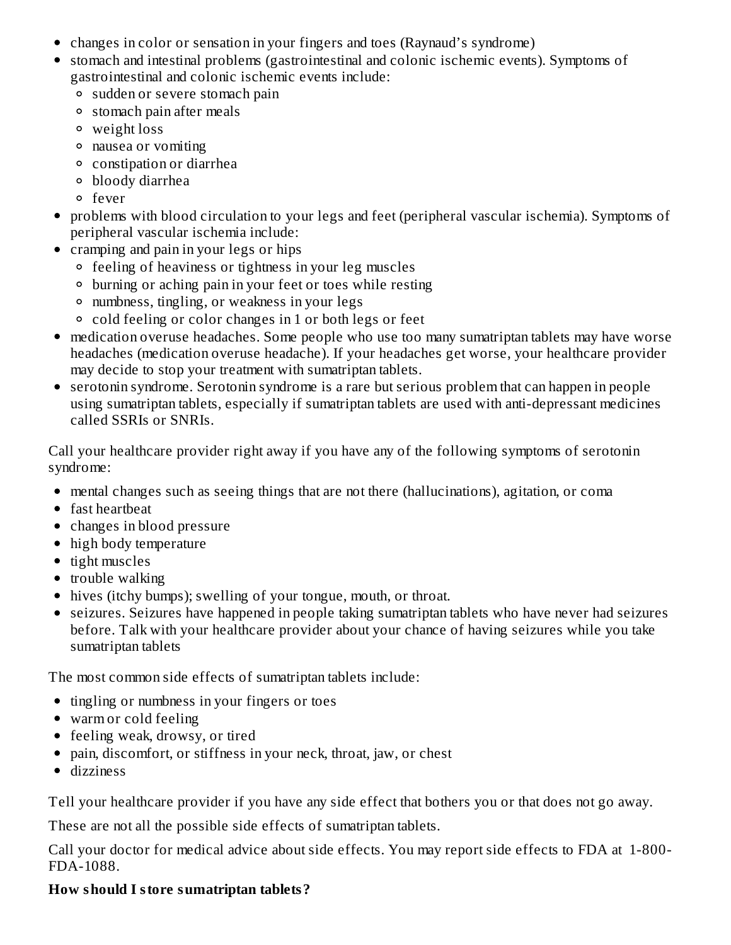- changes in color or sensation in your fingers and toes (Raynaud's syndrome)
- stomach and intestinal problems (gastrointestinal and colonic ischemic events). Symptoms of gastrointestinal and colonic ischemic events include:
	- sudden or severe stomach pain
	- stomach pain after meals
	- weight loss
	- nausea or vomiting
	- constipation or diarrhea
	- bloody diarrhea
	- fever
- problems with blood circulation to your legs and feet (peripheral vascular ischemia). Symptoms of peripheral vascular ischemia include:
- cramping and pain in your legs or hips
	- feeling of heaviness or tightness in your leg muscles
	- burning or aching pain in your feet or toes while resting
	- numbness, tingling, or weakness in your legs
	- cold feeling or color changes in 1 or both legs or feet
- medication overuse headaches. Some people who use too many sumatriptan tablets may have worse headaches (medication overuse headache). If your headaches get worse, your healthcare provider may decide to stop your treatment with sumatriptan tablets.
- serotonin syndrome. Serotonin syndrome is a rare but serious problem that can happen in people using sumatriptan tablets, especially if sumatriptan tablets are used with anti-depressant medicines called SSRIs or SNRIs.

Call your healthcare provider right away if you have any of the following symptoms of serotonin syndrome:

- mental changes such as seeing things that are not there (hallucinations), agitation, or coma
- fast heartbeat
- changes in blood pressure
- high body temperature
- $\bullet$  tight muscles
- trouble walking
- hives (itchy bumps); swelling of your tongue, mouth, or throat.
- seizures. Seizures have happened in people taking sumatriptan tablets who have never had seizures before. Talk with your healthcare provider about your chance of having seizures while you take sumatriptan tablets

The most common side effects of sumatriptan tablets include:

- tingling or numbness in your fingers or toes
- warm or cold feeling
- feeling weak, drowsy, or tired
- pain, discomfort, or stiffness in your neck, throat, jaw, or chest
- dizziness

Tell your healthcare provider if you have any side effect that bothers you or that does not go away.

These are not all the possible side effects of sumatriptan tablets.

Call your doctor for medical advice about side effects. You may report side effects to FDA at 1-800- FDA-1088.

#### **How should I store sumatriptan tablets?**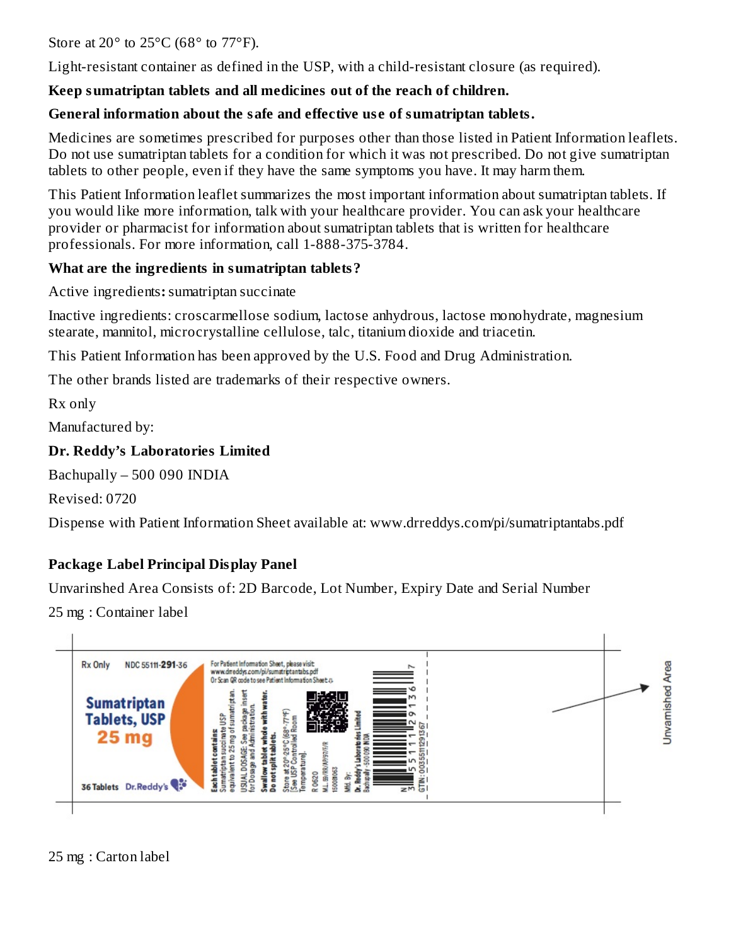Store at 20 $\degree$  to 25 $\degree$ C (68 $\degree$  to 77 $\degree$ F).

Light-resistant container as defined in the USP, with a child-resistant closure (as required).

### **Keep sumatriptan tablets and all medicines out of the reach of children.**

### **General information about the safe and effective us e of sumatriptan tablets.**

Medicines are sometimes prescribed for purposes other than those listed in Patient Information leaflets. Do not use sumatriptan tablets for a condition for which it was not prescribed. Do not give sumatriptan tablets to other people, even if they have the same symptoms you have. It may harm them.

This Patient Information leaflet summarizes the most important information about sumatriptan tablets. If you would like more information, talk with your healthcare provider. You can ask your healthcare provider or pharmacist for information about sumatriptan tablets that is written for healthcare professionals. For more information, call 1-888-375-3784.

### **What are the ingredients in sumatriptan tablets?**

Active ingredients**:**sumatriptan succinate

Inactive ingredients: croscarmellose sodium, lactose anhydrous, lactose monohydrate, magnesium stearate, mannitol, microcrystalline cellulose, talc, titanium dioxide and triacetin.

This Patient Information has been approved by the U.S. Food and Drug Administration.

The other brands listed are trademarks of their respective owners.

Rx only

Manufactured by:

#### **Dr. Reddy's Laboratories Limited**

Bachupally – 500 090 INDIA

Revised: 0720

Dispense with Patient Information Sheet available at: www.drreddys.com/pi/sumatriptantabs.pdf

### **Package Label Principal Display Panel**

Unvarinshed Area Consists of: 2D Barcode, Lot Number, Expiry Date and Serial Number

25 mg : Container label



25 mg : Carton label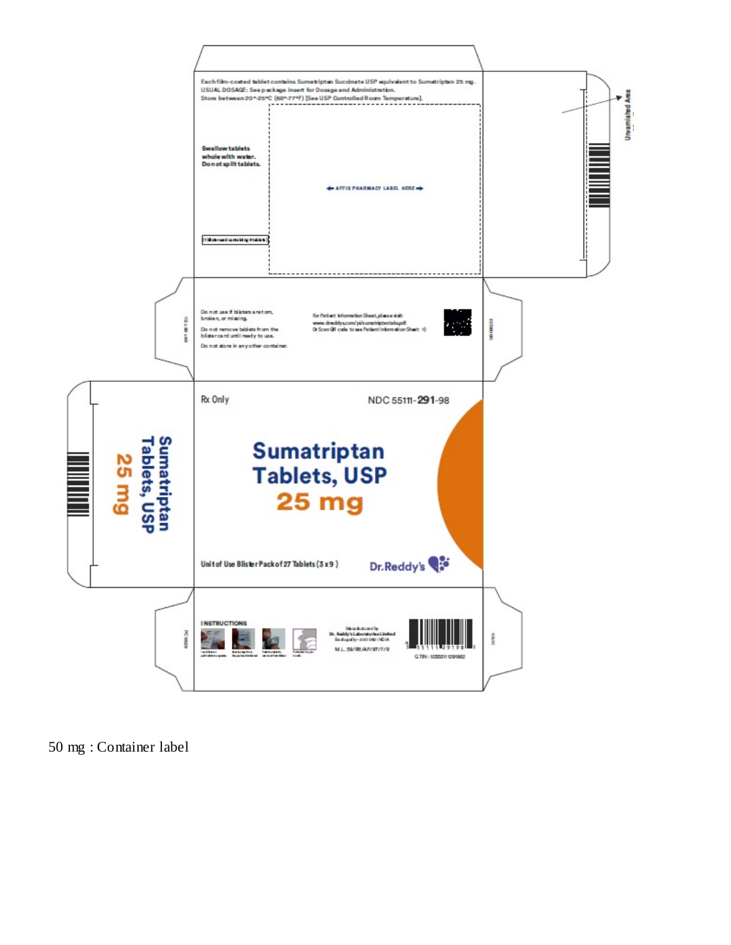

mg : Container label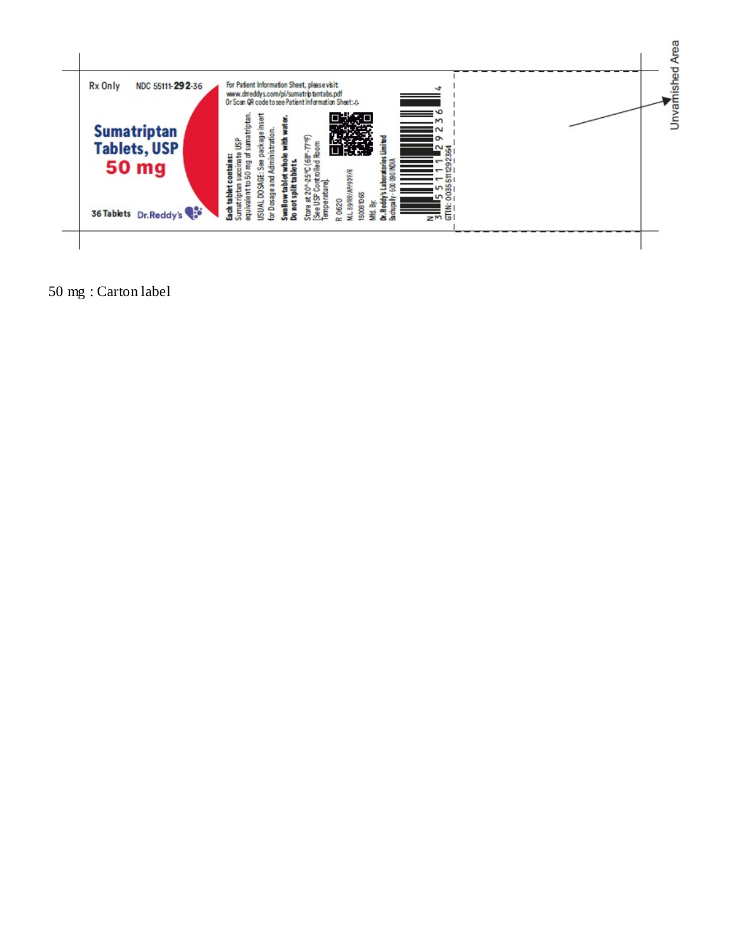

mg : Carton label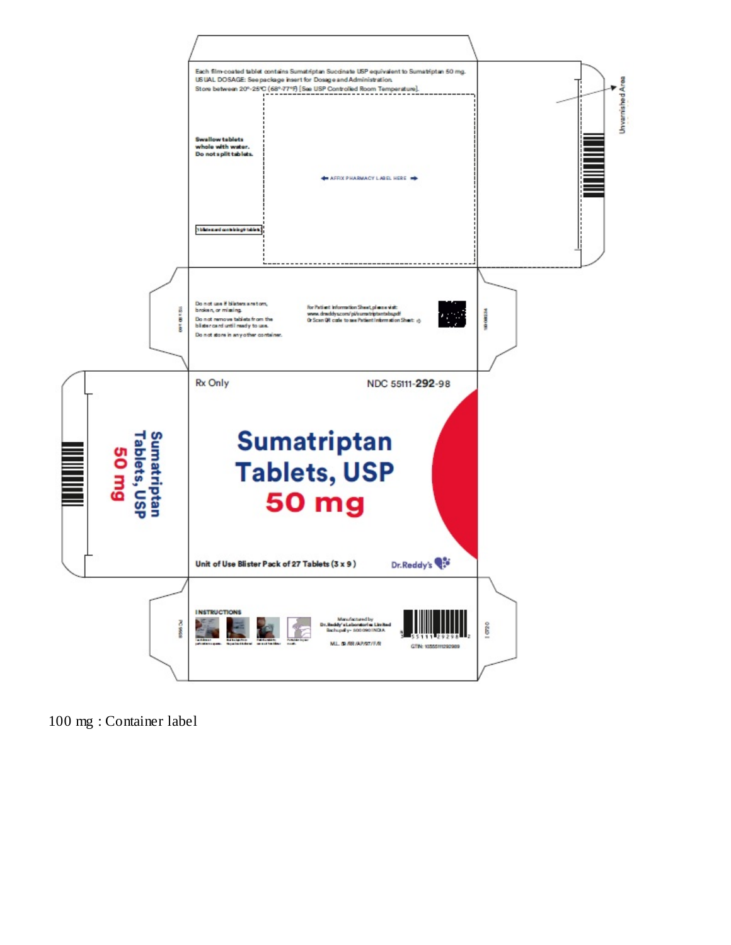

mg : Container label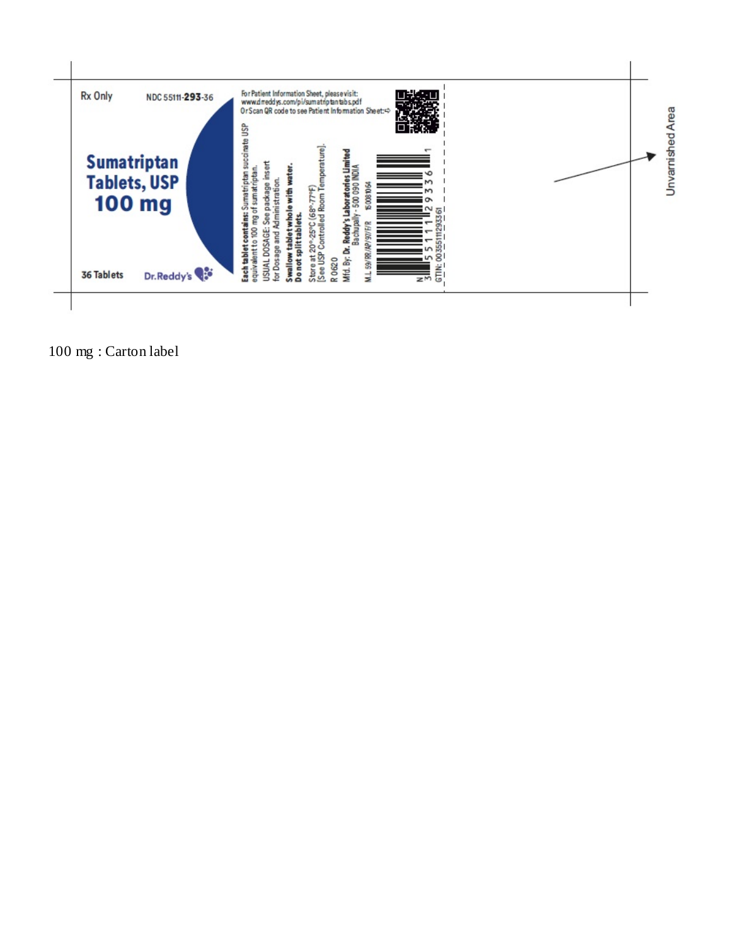

mg : Carton label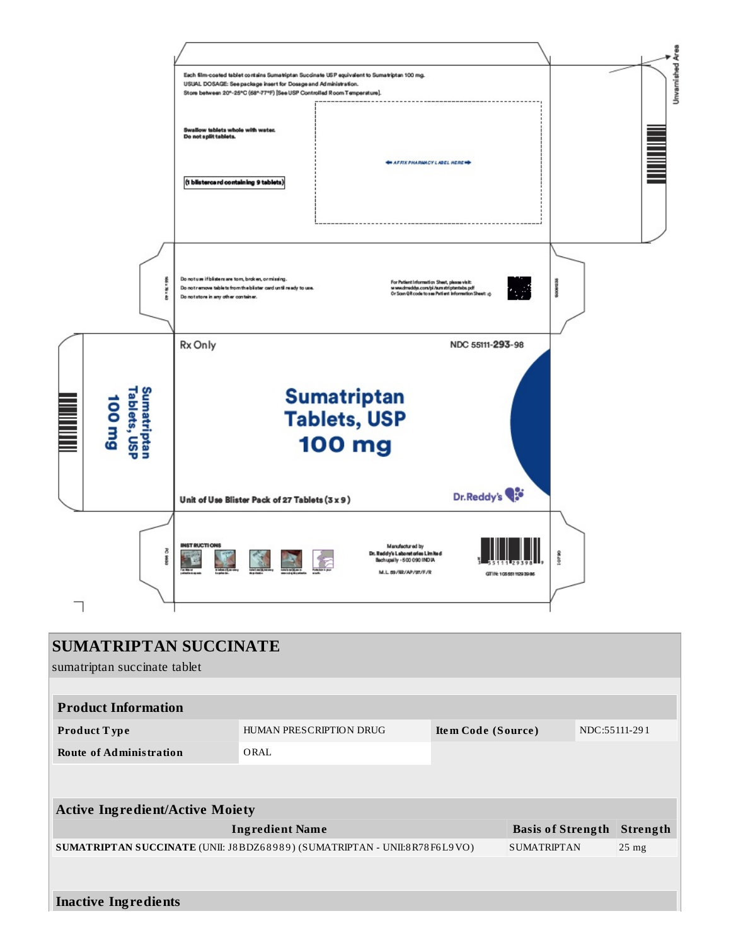

| <b>SUMATRIPTAN SUCCINATE</b><br>sumatriptan succinate tablet             |                         |                    |                          |               |          |  |  |  |
|--------------------------------------------------------------------------|-------------------------|--------------------|--------------------------|---------------|----------|--|--|--|
| <b>Product Information</b>                                               |                         |                    |                          |               |          |  |  |  |
| Product Type                                                             | HUMAN PRESCRIPTION DRUG | Item Code (Source) |                          | NDC:55111-291 |          |  |  |  |
| <b>Route of Administration</b>                                           | ORAL                    |                    |                          |               |          |  |  |  |
|                                                                          |                         |                    |                          |               |          |  |  |  |
| <b>Active Ingredient/Active Moiety</b>                                   |                         |                    |                          |               |          |  |  |  |
|                                                                          | <b>Ingredient Name</b>  |                    | <b>Basis of Strength</b> |               | Strength |  |  |  |
| SUMATRIPTAN SUCCINATE (UNII: J8BDZ68989) (SUMATRIPTAN - UNII:8R78F6L9VO) | <b>SUMATRIPTAN</b>      | $25$ mg            |                          |               |          |  |  |  |
|                                                                          |                         |                    |                          |               |          |  |  |  |
| <b>Inactive Ingredients</b>                                              |                         |                    |                          |               |          |  |  |  |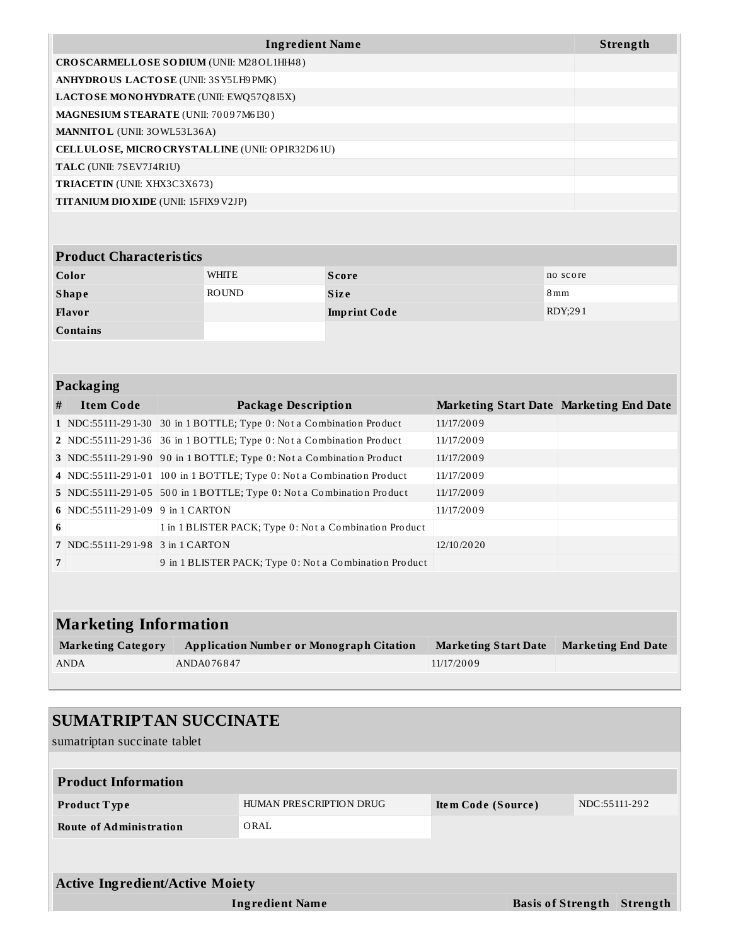| <b>Ingredient Name</b>                          | <b>Strength</b> |
|-------------------------------------------------|-----------------|
| CROSCARMELLOSE SODIUM (UNII: M28OL1HH48)        |                 |
| ANHYDROUS LACTOSE (UNII: 3SY5LH9PMK)            |                 |
| LACTOSE MONOHYDRATE (UNII: EWQ57Q8I5X)          |                 |
| <b>MAGNESIUM STEARATE (UNII: 70097M6I30)</b>    |                 |
| <b>MANNITOL</b> (UNII: 30WL53L36A)              |                 |
| CELLULOSE, MICRO CRYSTALLINE (UNII: OP1R32D61U) |                 |
| TALC (UNII: 7SEV7J4R1U)                         |                 |
| <b>TRIACETIN</b> (UNII: XHX3C3X673)             |                 |
| <b>TITANIUM DIO XIDE (UNII: 15FIX9 V2JP)</b>    |                 |

#### **Product Characteristics**

| Color           | WHITE        | Score               | no score |
|-----------------|--------------|---------------------|----------|
| <b>Shape</b>    | <b>ROUND</b> | <b>Size</b>         | 8mm      |
| <b>Flavor</b>   |              | <b>Imprint Code</b> | RDY;291  |
| <b>Contains</b> |              |                     |          |

#### **Packaging**

| #              | <b>Item Code</b>                 | <b>Package Description</b>                                            | Marketing Start Date Marketing End Date |  |
|----------------|----------------------------------|-----------------------------------------------------------------------|-----------------------------------------|--|
|                |                                  | 1 NDC:55111-291-30 30 in 1 BOTTLE; Type 0: Not a Combination Product  | 11/17/2009                              |  |
|                |                                  | 2 NDC:55111-291-36 36 in 1 BOTTLE; Type 0: Not a Combination Product  | 11/17/2009                              |  |
|                |                                  | 3 NDC:55111-291-90 90 in 1 BOTTLE; Type 0: Not a Combination Product  | 11/17/2009                              |  |
|                |                                  | 4 NDC:55111-291-01 100 in 1 BOTTLE; Type 0: Not a Combination Product | 11/17/2009                              |  |
|                |                                  | 5 NDC:55111-291-05 500 in 1 BOTTLE; Type 0: Not a Combination Product | 11/17/2009                              |  |
|                | 6 NDC:55111-291-09 9 in 1 CARTON |                                                                       | 11/17/2009                              |  |
| 6              |                                  | 1 in 1 BLISTER PACK; Type 0: Not a Combination Product                |                                         |  |
|                | 7 NDC:55111-291-98 3 in 1 CARTON |                                                                       | 12/10/2020                              |  |
| $\overline{7}$ |                                  | 9 in 1 BLISTER PACK; Type 0: Not a Combination Product                |                                         |  |
|                |                                  |                                                                       |                                         |  |

# **Marketing Information Marke ting Category Application Numbe r or Monograph Citation Marke ting Start Date Marke ting End Date** ANDA $A$ NDA076847 11/17/2009

| <b>SUMATRIPTAN SUCCINATE</b><br>sumatriptan succinate tablet |                                 |                    |                          |               |          |  |  |  |  |
|--------------------------------------------------------------|---------------------------------|--------------------|--------------------------|---------------|----------|--|--|--|--|
| <b>Product Information</b>                                   |                                 |                    |                          |               |          |  |  |  |  |
| <b>Product Type</b><br><b>Route of Administration</b>        | HUMAN PRESCRIPTION DRUG<br>ORAL | Item Code (Source) |                          | NDC:55111-292 |          |  |  |  |  |
|                                                              |                                 |                    |                          |               |          |  |  |  |  |
| <b>Active Ingredient/Active Moiety</b>                       |                                 |                    |                          |               |          |  |  |  |  |
|                                                              | <b>Ingredient Name</b>          |                    | <b>Basis of Strength</b> |               | Strength |  |  |  |  |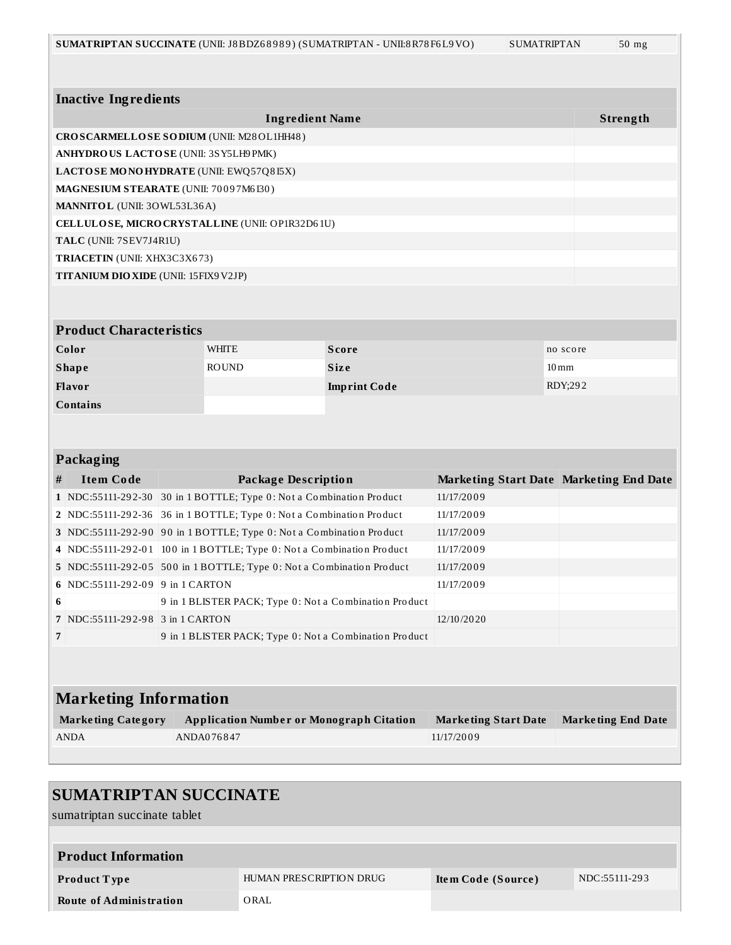| <b>Inactive Ingredients</b>                                              |  |                            |                                                                       |                             |                                         |  |  |  |  |
|--------------------------------------------------------------------------|--|----------------------------|-----------------------------------------------------------------------|-----------------------------|-----------------------------------------|--|--|--|--|
|                                                                          |  |                            | <b>Ingredient Name</b>                                                |                             | Strength                                |  |  |  |  |
| CROSCARMELLOSE SODIUM (UNII: M28OL1HH48)                                 |  |                            |                                                                       |                             |                                         |  |  |  |  |
| ANHYDROUS LACTOSE (UNII: 3SY5LH9 PMK)                                    |  |                            |                                                                       |                             |                                         |  |  |  |  |
| LACTOSE MONOHYDRATE (UNII: EWQ57Q8I5X)                                   |  |                            |                                                                       |                             |                                         |  |  |  |  |
| MAGNESIUM STEARATE (UNII: 70097M6I30)                                    |  |                            |                                                                       |                             |                                         |  |  |  |  |
| MANNITOL (UNII: 30WL53L36A)                                              |  |                            |                                                                       |                             |                                         |  |  |  |  |
| CELLULOSE, MICRO CRYSTALLINE (UNII: OP1R32D61U)                          |  |                            |                                                                       |                             |                                         |  |  |  |  |
| TALC (UNII: 7SEV7J4R1U)                                                  |  |                            |                                                                       |                             |                                         |  |  |  |  |
| TRIACETIN (UNII: XHX3C3X673)                                             |  |                            |                                                                       |                             |                                         |  |  |  |  |
| TITANIUM DIO XIDE (UNII: 15FIX9V2JP)                                     |  |                            |                                                                       |                             |                                         |  |  |  |  |
|                                                                          |  |                            |                                                                       |                             |                                         |  |  |  |  |
|                                                                          |  |                            |                                                                       |                             |                                         |  |  |  |  |
| <b>Product Characteristics</b>                                           |  |                            |                                                                       |                             |                                         |  |  |  |  |
| Color                                                                    |  | WHITE                      | <b>Score</b>                                                          |                             | no score                                |  |  |  |  |
| <b>Shape</b>                                                             |  | <b>ROUND</b>               | <b>Size</b>                                                           |                             | $10 \,\mathrm{mm}$                      |  |  |  |  |
| Flavor                                                                   |  |                            | <b>Imprint Code</b>                                                   |                             | RDY:292                                 |  |  |  |  |
| <b>Contains</b>                                                          |  |                            |                                                                       |                             |                                         |  |  |  |  |
|                                                                          |  |                            |                                                                       |                             |                                         |  |  |  |  |
|                                                                          |  |                            |                                                                       |                             |                                         |  |  |  |  |
| <b>Packaging</b>                                                         |  |                            |                                                                       |                             |                                         |  |  |  |  |
| <b>Item Code</b><br>#                                                    |  | <b>Package Description</b> |                                                                       |                             | Marketing Start Date Marketing End Date |  |  |  |  |
|                                                                          |  |                            | 1 NDC:55111-292-30 30 in 1 BOTTLE; Type 0: Not a Combination Product  | 11/17/2009                  |                                         |  |  |  |  |
|                                                                          |  |                            | 2 NDC:55111-292-36 36 in 1 BOTTLE; Type 0: Not a Combination Product  | 11/17/2009                  |                                         |  |  |  |  |
|                                                                          |  |                            | 3 NDC:55111-292-90 90 in 1 BOTTLE; Type 0: Not a Combination Product  | 11/17/2009                  |                                         |  |  |  |  |
|                                                                          |  |                            | 4 NDC:55111-292-01 100 in 1 BOTTLE; Type 0: Not a Combination Product | 11/17/2009                  |                                         |  |  |  |  |
|                                                                          |  |                            | 5 NDC:55111-292-05 500 in 1 BOTTLE; Type 0: Not a Combination Product | 11/17/2009                  |                                         |  |  |  |  |
| 6 NDC:55111-292-09 9 in 1 CARTON                                         |  |                            |                                                                       | 11/17/2009                  |                                         |  |  |  |  |
| 6                                                                        |  |                            | 9 in 1 BLISTER PACK; Type 0: Not a Combination Product                |                             |                                         |  |  |  |  |
| 7   NDC:55111-292-98   3 in 1 CARTON                                     |  |                            | 12/10/2020                                                            |                             |                                         |  |  |  |  |
| $\overline{7}$<br>9 in 1 BLISTER PACK; Type 0: Not a Combination Product |  |                            |                                                                       |                             |                                         |  |  |  |  |
|                                                                          |  |                            |                                                                       |                             |                                         |  |  |  |  |
|                                                                          |  |                            |                                                                       |                             |                                         |  |  |  |  |
| <b>Marketing Information</b>                                             |  |                            |                                                                       |                             |                                         |  |  |  |  |
|                                                                          |  |                            |                                                                       |                             |                                         |  |  |  |  |
| <b>Marketing Category</b>                                                |  |                            | <b>Application Number or Monograph Citation</b>                       | <b>Marketing Start Date</b> | <b>Marketing End Date</b>               |  |  |  |  |
| <b>ANDA</b>                                                              |  | ANDA076847                 |                                                                       | 11/17/2009                  |                                         |  |  |  |  |

# **SUMATRIPTAN SUCCINATE** sumatriptan succinate tablet **Product Information Product Type HUMAN PRESCRIPTION DRUG Item Code (Source)** NDC:55111-293 **Route of Administration** ORAL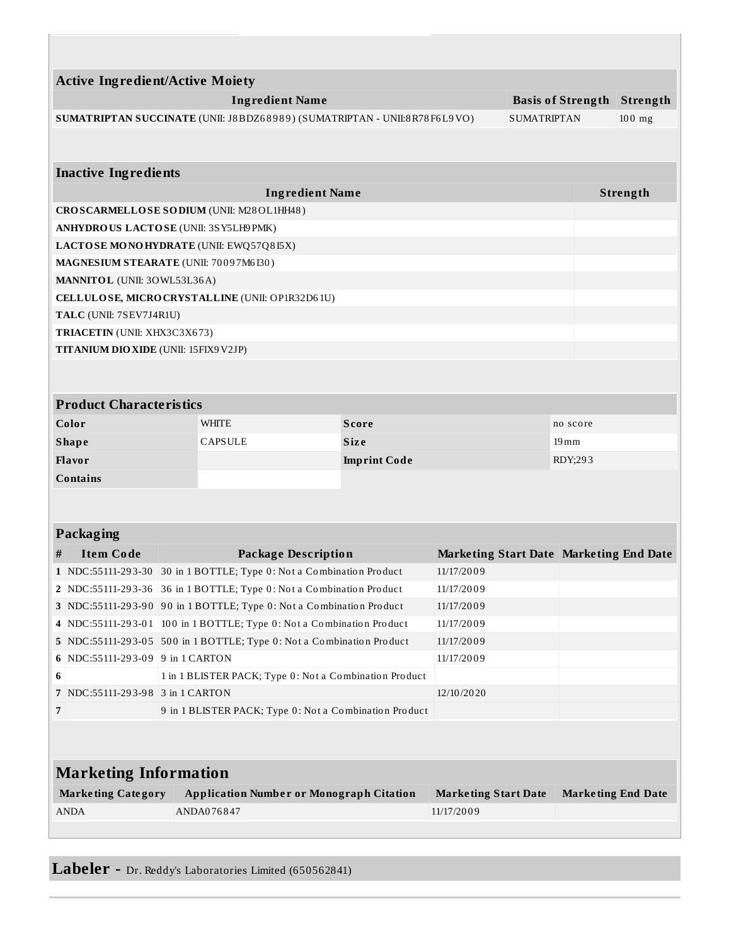|                                                 | <b>Active Ingredient/Active Moiety</b>                                |                                                        |                                                                          |                     |                                         |                    |                           |          |  |
|-------------------------------------------------|-----------------------------------------------------------------------|--------------------------------------------------------|--------------------------------------------------------------------------|---------------------|-----------------------------------------|--------------------|---------------------------|----------|--|
|                                                 |                                                                       |                                                        | <b>Ingredient Name</b>                                                   |                     |                                         |                    | <b>Basis of Strength</b>  | Strength |  |
|                                                 |                                                                       |                                                        | SUMATRIPTAN SUCCINATE (UNII: J8BDZ68989) (SUMATRIPTAN - UNII:8R78F6L9VO) |                     | <b>SUMATRIPTAN</b>                      |                    | $100$ mg                  |          |  |
|                                                 |                                                                       |                                                        |                                                                          |                     |                                         |                    |                           |          |  |
|                                                 |                                                                       |                                                        |                                                                          |                     |                                         |                    |                           |          |  |
|                                                 | <b>Inactive Ingredients</b>                                           |                                                        |                                                                          |                     |                                         |                    |                           |          |  |
|                                                 | <b>Ingredient Name</b><br>Strength                                    |                                                        |                                                                          |                     |                                         |                    |                           |          |  |
|                                                 | CROSCARMELLOSE SODIUM (UNII: M28OL1HH48)                              |                                                        |                                                                          |                     |                                         |                    |                           |          |  |
| ANHYDROUS LACTOSE (UNII: 3SY5LH9 PMK)           |                                                                       |                                                        |                                                                          |                     |                                         |                    |                           |          |  |
| LACTOSE MONOHYDRATE (UNII: EWQ57Q8I5X)          |                                                                       |                                                        |                                                                          |                     |                                         |                    |                           |          |  |
| MAGNESIUM STEARATE (UNII: 70097M6I30)           |                                                                       |                                                        |                                                                          |                     |                                         |                    |                           |          |  |
|                                                 | MANNITOL (UNII: 30WL53L36A)                                           |                                                        |                                                                          |                     |                                         |                    |                           |          |  |
| CELLULOSE, MICRO CRYSTALLINE (UNII: OP1R32D61U) |                                                                       |                                                        |                                                                          |                     |                                         |                    |                           |          |  |
| TALC (UNII: 7SEV7J4R1U)                         |                                                                       |                                                        |                                                                          |                     |                                         |                    |                           |          |  |
|                                                 | TRIACETIN (UNII: XHX3C3X673)                                          |                                                        |                                                                          |                     |                                         |                    |                           |          |  |
|                                                 | TITANIUM DIO XIDE (UNII: 15FIX9V2JP)                                  |                                                        |                                                                          |                     |                                         |                    |                           |          |  |
|                                                 |                                                                       |                                                        |                                                                          |                     |                                         |                    |                           |          |  |
| <b>Product Characteristics</b>                  |                                                                       |                                                        |                                                                          |                     |                                         |                    |                           |          |  |
| Color                                           |                                                                       |                                                        | <b>WHITE</b>                                                             |                     |                                         | no score           |                           |          |  |
| <b>Shape</b>                                    |                                                                       |                                                        | <b>CAPSULE</b>                                                           |                     |                                         | $19 \,\mathrm{mm}$ |                           |          |  |
| Flavor                                          |                                                                       |                                                        |                                                                          | <b>Imprint Code</b> |                                         |                    | RDY;293                   |          |  |
| <b>Contains</b>                                 |                                                                       |                                                        |                                                                          |                     |                                         |                    |                           |          |  |
|                                                 |                                                                       |                                                        |                                                                          |                     |                                         |                    |                           |          |  |
|                                                 |                                                                       |                                                        |                                                                          |                     |                                         |                    |                           |          |  |
| Packaging                                       |                                                                       |                                                        |                                                                          |                     |                                         |                    |                           |          |  |
| #                                               | <b>Item Code</b>                                                      |                                                        | <b>Package Description</b>                                               |                     | Marketing Start Date Marketing End Date |                    |                           |          |  |
|                                                 |                                                                       |                                                        | 1 NDC:55111-293-30 30 in 1 BOTTLE; Type 0: Not a Combination Product     |                     | 11/17/2009                              |                    |                           |          |  |
|                                                 |                                                                       |                                                        | 2 NDC:55111-293-36 36 in 1 BOTTLE; Type 0: Not a Combination Product     |                     | 11/17/2009                              |                    |                           |          |  |
|                                                 |                                                                       |                                                        | 3 NDC:55111-293-90 90 in 1 BOTTLE; Type 0: Not a Combination Product     |                     | 11/17/2009                              |                    |                           |          |  |
|                                                 | 4 NDC:55111-293-01                                                    |                                                        | 100 in 1 BOTTLE; Type 0: Not a Combination Product                       | 11/17/2009          |                                         |                    |                           |          |  |
|                                                 | 5 NDC:55111-293-05 500 in 1 BOTTLE; Type 0: Not a Combination Product |                                                        |                                                                          |                     | 11/17/2009                              |                    |                           |          |  |
| 6                                               | NDC:55111-293-09 9 in 1 CARTON                                        |                                                        |                                                                          |                     | 11/17/2009                              |                    |                           |          |  |
| 6                                               |                                                                       | 1 in 1 BLISTER PACK; Type 0: Not a Combination Product |                                                                          |                     |                                         |                    |                           |          |  |
|                                                 | 7 NDC:55111-293-98 3 in 1 CARTON                                      |                                                        |                                                                          |                     | 12/10/2020                              |                    |                           |          |  |
| 7                                               |                                                                       | 9 in 1 BLISTER PACK; Type 0: Not a Combination Product |                                                                          |                     |                                         |                    |                           |          |  |
|                                                 |                                                                       |                                                        |                                                                          |                     |                                         |                    |                           |          |  |
|                                                 |                                                                       |                                                        |                                                                          |                     |                                         |                    |                           |          |  |
| <b>Marketing Information</b>                    |                                                                       |                                                        |                                                                          |                     |                                         |                    |                           |          |  |
| <b>Marketing Category</b>                       |                                                                       |                                                        | <b>Application Number or Monograph Citation</b>                          |                     | <b>Marketing Start Date</b>             |                    | <b>Marketing End Date</b> |          |  |
|                                                 | <b>ANDA</b>                                                           |                                                        | ANDA076847                                                               |                     | 11/17/2009                              |                    |                           |          |  |
|                                                 |                                                                       |                                                        |                                                                          |                     |                                         |                    |                           |          |  |

**Labeler -** Dr. Reddy's Laboratories Limited (650562841)

Ľ